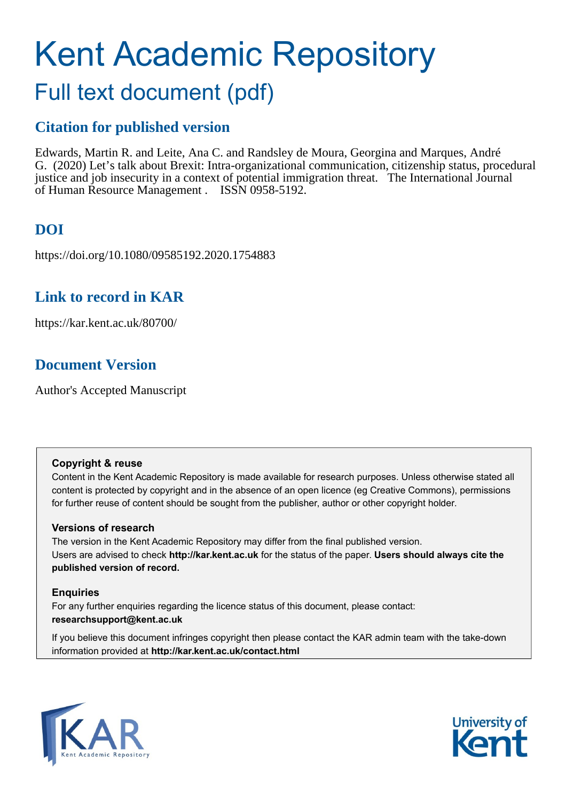# Kent Academic Repository Full text document (pdf)

# **Citation for published version**

Edwards, Martin R. and Leite, Ana C. and Randsley de Moura, Georgina and Marques, André G. (2020) Let's talk about Brexit: Intra-organizational communication, citizenship status, procedural justice and job insecurity in a context of potential immigration threat. The International Journal of Human Resource Management . ISSN 0958-5192.

# **DOI**

https://doi.org/10.1080/09585192.2020.1754883

# **Link to record in KAR**

https://kar.kent.ac.uk/80700/

# **Document Version**

Author's Accepted Manuscript

## **Copyright & reuse**

Content in the Kent Academic Repository is made available for research purposes. Unless otherwise stated all content is protected by copyright and in the absence of an open licence (eg Creative Commons), permissions for further reuse of content should be sought from the publisher, author or other copyright holder.

## **Versions of research**

The version in the Kent Academic Repository may differ from the final published version. Users are advised to check **http://kar.kent.ac.uk** for the status of the paper. **Users should always cite the published version of record.**

## **Enquiries**

For any further enquiries regarding the licence status of this document, please contact: **researchsupport@kent.ac.uk**

If you believe this document infringes copyright then please contact the KAR admin team with the take-down information provided at **http://kar.kent.ac.uk/contact.html**



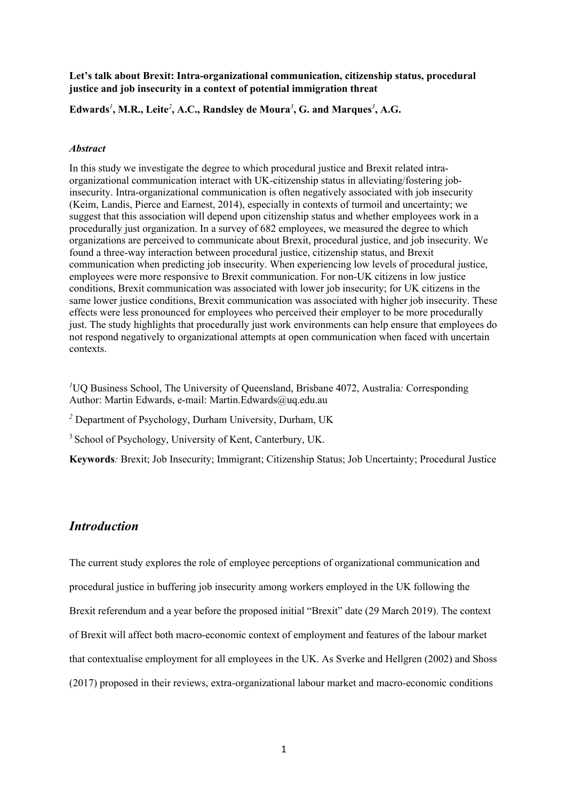## **Let's talk about Brexit: Intra-organizational communication, citizenship status, procedural justice and job insecurity in a context of potential immigration threat**

**Edwards***<sup>1</sup>* **, M.R., Leite***<sup>2</sup>* **, A.C., Randsley de Moura***<sup>3</sup>* **, G. and Marques***<sup>3</sup>* **, A.G.**

#### *Abstract*

In this study we investigate the degree to which procedural justice and Brexit related intraorganizational communication interact with UK-citizenship status in alleviating/fostering jobinsecurity. Intra-organizational communication is often negatively associated with job insecurity (Keim, Landis, Pierce and Earnest, 2014), especially in contexts of turmoil and uncertainty; we suggest that this association will depend upon citizenship status and whether employees work in a procedurally just organization. In a survey of 682 employees, we measured the degree to which organizations are perceived to communicate about Brexit, procedural justice, and job insecurity. We found a three-way interaction between procedural justice, citizenship status, and Brexit communication when predicting job insecurity. When experiencing low levels of procedural justice, employees were more responsive to Brexit communication. For non-UK citizens in low justice conditions, Brexit communication was associated with lower job insecurity; for UK citizens in the same lower justice conditions, Brexit communication was associated with higher job insecurity. These effects were less pronounced for employees who perceived their employer to be more procedurally just. The study highlights that procedurally just work environments can help ensure that employees do not respond negatively to organizational attempts at open communication when faced with uncertain contexts.

*1* UQ Business School, The University of Queensland, Brisbane 4072, Australia*:* Corresponding Author: Martin Edwards, e-mail: Martin.Edwards@uq.edu.au

*<sup>2</sup>* Department of Psychology, Durham University, Durham, UK

<sup>3</sup> School of Psychology, University of Kent, Canterbury, UK.

**Keywords***:* Brexit; Job Insecurity; Immigrant; Citizenship Status; Job Uncertainty; Procedural Justice

# *Introduction*

The current study explores the role of employee perceptions of organizational communication and procedural justice in buffering job insecurity among workers employed in the UK following the Brexit referendum and a year before the proposed initial "Brexit" date (29 March 2019). The context of Brexit will affect both macro-economic context of employment and features of the labour market that contextualise employment for all employees in the UK. As Sverke and Hellgren (2002) and Shoss (2017) proposed in their reviews, extra-organizational labour market and macro-economic conditions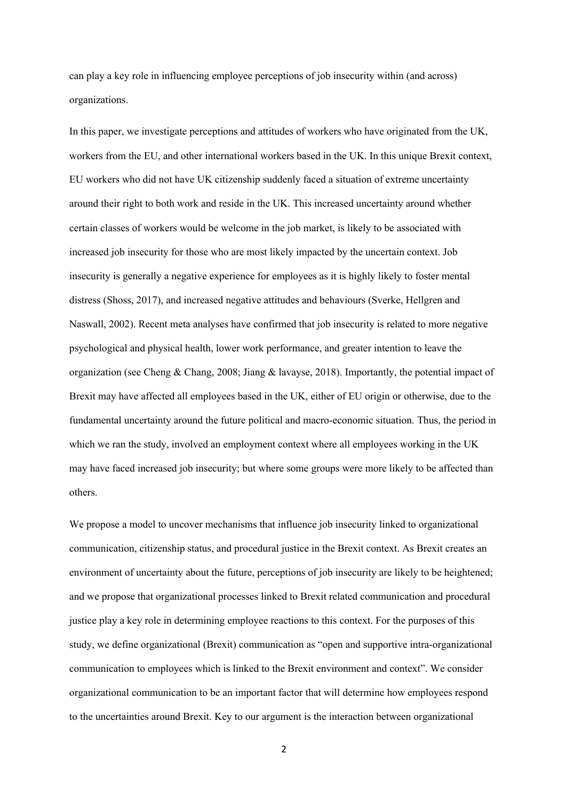can play a key role in influencing employee perceptions of job insecurity within (and across) organizations.

In this paper, we investigate perceptions and attitudes of workers who have originated from the UK, workers from the EU, and other international workers based in the UK. In this unique Brexit context, EU workers who did not have UK citizenship suddenly faced a situation of extreme uncertainty around their right to both work and reside in the UK. This increased uncertainty around whether certain classes of workers would be welcome in the job market, is likely to be associated with increased job insecurity for those who are most likely impacted by the uncertain context. Job insecurity is generally a negative experience for employees as it is highly likely to foster mental distress (Shoss, 2017), and increased negative attitudes and behaviours (Sverke, Hellgren and Naswall, 2002). Recent meta analyses have confirmed that job insecurity is related to more negative psychological and physical health, lower work performance, and greater intention to leave the organization (see Cheng & Chang, 2008; Jiang & lavayse, 2018). Importantly, the potential impact of Brexit may have affected all employees based in the UK, either of EU origin or otherwise, due to the fundamental uncertainty around the future political and macro-economic situation. Thus, the period in which we ran the study, involved an employment context where all employees working in the UK may have faced increased job insecurity; but where some groups were more likely to be affected than others.

We propose a model to uncover mechanisms that influence job insecurity linked to organizational communication, citizenship status, and procedural justice in the Brexit context. As Brexit creates an environment of uncertainty about the future, perceptions of job insecurity are likely to be heightened; and we propose that organizational processes linked to Brexit related communication and procedural justice play a key role in determining employee reactions to this context. For the purposes of this study, we define organizational (Brexit) communication as "open and supportive intra-organizational communication to employees which is linked to the Brexit environment and context". We consider organizational communication to be an important factor that will determine how employees respond to the uncertainties around Brexit. Key to our argument is the interaction between organizational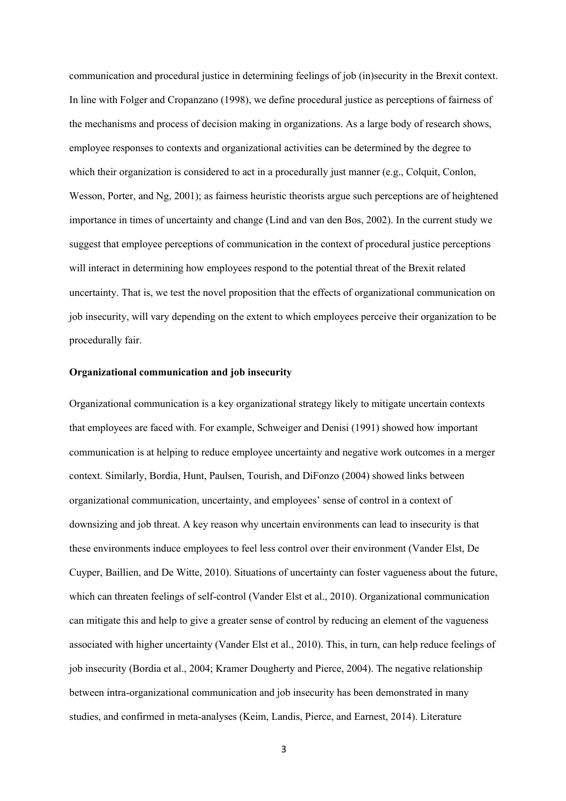communication and procedural justice in determining feelings of job (in)security in the Brexit context. In line with Folger and Cropanzano (1998), we define procedural justice as perceptions of fairness of the mechanisms and process of decision making in organizations. As a large body of research shows, employee responses to contexts and organizational activities can be determined by the degree to which their organization is considered to act in a procedurally just manner (e.g., Colquit, Conlon, Wesson, Porter, and Ng, 2001); as fairness heuristic theorists argue such perceptions are of heightened importance in times of uncertainty and change (Lind and van den Bos, 2002). In the current study we suggest that employee perceptions of communication in the context of procedural justice perceptions will interact in determining how employees respond to the potential threat of the Brexit related uncertainty. That is, we test the novel proposition that the effects of organizational communication on job insecurity, will vary depending on the extent to which employees perceive their organization to be procedurally fair.

## **Organizational communication and job insecurity**

Organizational communication is a key organizational strategy likely to mitigate uncertain contexts that employees are faced with. For example, Schweiger and Denisi (1991) showed how important communication is at helping to reduce employee uncertainty and negative work outcomes in a merger context. Similarly, Bordia, Hunt, Paulsen, Tourish, and DiFonzo (2004) showed links between organizational communication, uncertainty, and employees' sense of control in a context of downsizing and job threat. A key reason why uncertain environments can lead to insecurity is that these environments induce employees to feel less control over their environment (Vander Elst, De Cuyper, Baillien, and De Witte, 2010). Situations of uncertainty can foster vagueness about the future, which can threaten feelings of self-control (Vander Elst et al., 2010). Organizational communication can mitigate this and help to give a greater sense of control by reducing an element of the vagueness associated with higher uncertainty (Vander Elst et al., 2010). This, in turn, can help reduce feelings of job insecurity (Bordia et al., 2004; Kramer Dougherty and Pierce, 2004). The negative relationship between intra-organizational communication and job insecurity has been demonstrated in many studies, and confirmed in meta-analyses (Keim, Landis, Pierce, and Earnest, 2014). Literature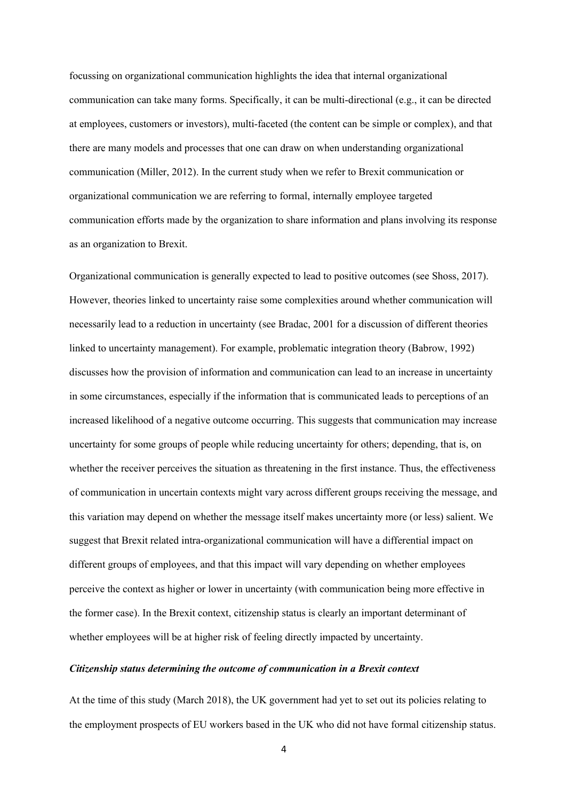focussing on organizational communication highlights the idea that internal organizational communication can take many forms. Specifically, it can be multi-directional (e.g., it can be directed at employees, customers or investors), multi-faceted (the content can be simple or complex), and that there are many models and processes that one can draw on when understanding organizational communication (Miller, 2012). In the current study when we refer to Brexit communication or organizational communication we are referring to formal, internally employee targeted communication efforts made by the organization to share information and plans involving its response as an organization to Brexit.

Organizational communication is generally expected to lead to positive outcomes (see Shoss, 2017). However, theories linked to uncertainty raise some complexities around whether communication will necessarily lead to a reduction in uncertainty (see Bradac, 2001 for a discussion of different theories linked to uncertainty management). For example, problematic integration theory (Babrow, 1992) discusses how the provision of information and communication can lead to an increase in uncertainty in some circumstances, especially if the information that is communicated leads to perceptions of an increased likelihood of a negative outcome occurring. This suggests that communication may increase uncertainty for some groups of people while reducing uncertainty for others; depending, that is, on whether the receiver perceives the situation as threatening in the first instance. Thus, the effectiveness of communication in uncertain contexts might vary across different groups receiving the message, and this variation may depend on whether the message itself makes uncertainty more (or less) salient. We suggest that Brexit related intra-organizational communication will have a differential impact on different groups of employees, and that this impact will vary depending on whether employees perceive the context as higher or lower in uncertainty (with communication being more effective in the former case). In the Brexit context, citizenship status is clearly an important determinant of whether employees will be at higher risk of feeling directly impacted by uncertainty.

#### *Citizenship status determining the outcome of communication in a Brexit context*

At the time of this study (March 2018), the UK government had yet to set out its policies relating to the employment prospects of EU workers based in the UK who did not have formal citizenship status.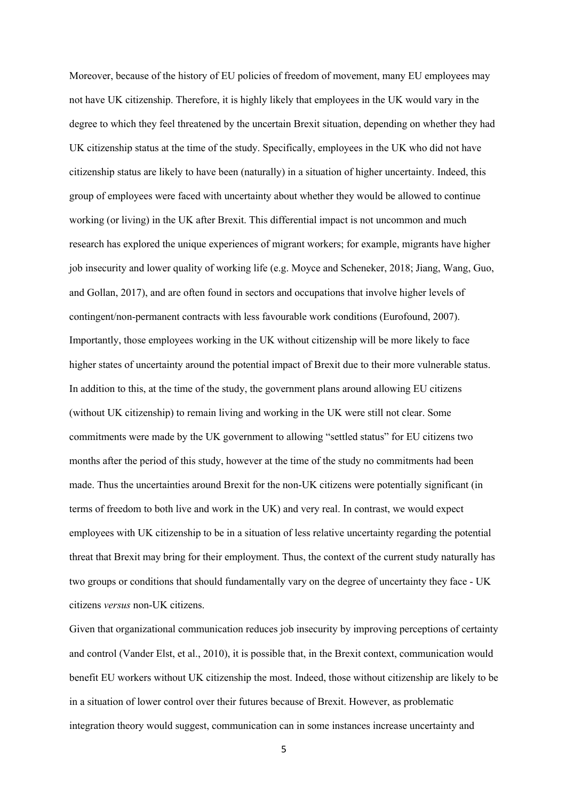Moreover, because of the history of EU policies of freedom of movement, many EU employees may not have UK citizenship. Therefore, it is highly likely that employees in the UK would vary in the degree to which they feel threatened by the uncertain Brexit situation, depending on whether they had UK citizenship status at the time of the study. Specifically, employees in the UK who did not have citizenship status are likely to have been (naturally) in a situation of higher uncertainty. Indeed, this group of employees were faced with uncertainty about whether they would be allowed to continue working (or living) in the UK after Brexit. This differential impact is not uncommon and much research has explored the unique experiences of migrant workers; for example, migrants have higher job insecurity and lower quality of working life (e.g. Moyce and Scheneker, 2018; Jiang, Wang, Guo, and Gollan, 2017), and are often found in sectors and occupations that involve higher levels of contingent/non-permanent contracts with less favourable work conditions (Eurofound, 2007). Importantly, those employees working in the UK without citizenship will be more likely to face higher states of uncertainty around the potential impact of Brexit due to their more vulnerable status. In addition to this, at the time of the study, the government plans around allowing EU citizens (without UK citizenship) to remain living and working in the UK were still not clear. Some commitments were made by the UK government to allowing "settled status" for EU citizens two months after the period of this study, however at the time of the study no commitments had been made. Thus the uncertainties around Brexit for the non-UK citizens were potentially significant (in terms of freedom to both live and work in the UK) and very real. In contrast, we would expect employees with UK citizenship to be in a situation of less relative uncertainty regarding the potential threat that Brexit may bring for their employment. Thus, the context of the current study naturally has two groups or conditions that should fundamentally vary on the degree of uncertainty they face - UK citizens *versus* non-UK citizens.

Given that organizational communication reduces job insecurity by improving perceptions of certainty and control (Vander Elst, et al., 2010), it is possible that, in the Brexit context, communication would benefit EU workers without UK citizenship the most. Indeed, those without citizenship are likely to be in a situation of lower control over their futures because of Brexit. However, as problematic integration theory would suggest, communication can in some instances increase uncertainty and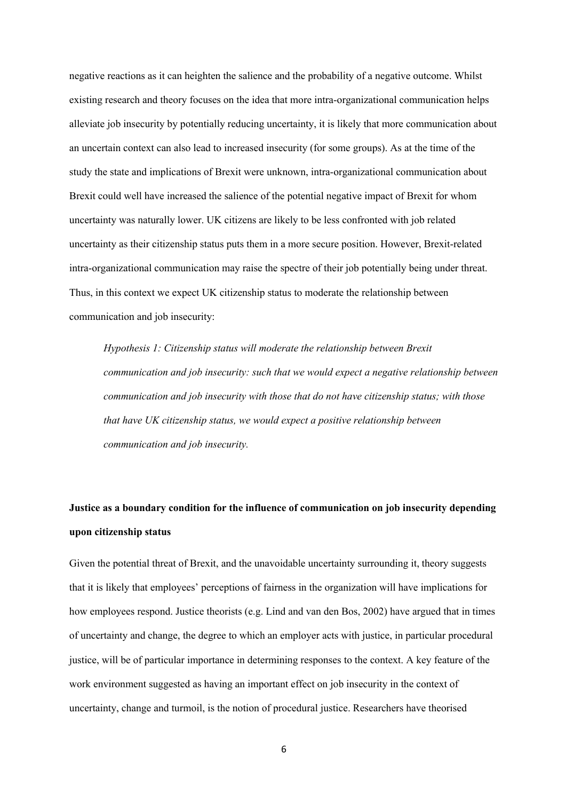negative reactions as it can heighten the salience and the probability of a negative outcome. Whilst existing research and theory focuses on the idea that more intra-organizational communication helps alleviate job insecurity by potentially reducing uncertainty, it is likely that more communication about an uncertain context can also lead to increased insecurity (for some groups). As at the time of the study the state and implications of Brexit were unknown, intra-organizational communication about Brexit could well have increased the salience of the potential negative impact of Brexit for whom uncertainty was naturally lower. UK citizens are likely to be less confronted with job related uncertainty as their citizenship status puts them in a more secure position. However, Brexit-related intra-organizational communication may raise the spectre of their job potentially being under threat. Thus, in this context we expect UK citizenship status to moderate the relationship between communication and job insecurity:

*Hypothesis 1: Citizenship status will moderate the relationship between Brexit communication and job insecurity: such that we would expect a negative relationship between communication and job insecurity with those that do not have citizenship status; with those that have UK citizenship status, we would expect a positive relationship between communication and job insecurity.* 

# **Justice as a boundary condition for the influence of communication on job insecurity depending upon citizenship status**

Given the potential threat of Brexit, and the unavoidable uncertainty surrounding it, theory suggests that it is likely that employees' perceptions of fairness in the organization will have implications for how employees respond. Justice theorists (e.g. Lind and van den Bos, 2002) have argued that in times of uncertainty and change, the degree to which an employer acts with justice, in particular procedural justice, will be of particular importance in determining responses to the context. A key feature of the work environment suggested as having an important effect on job insecurity in the context of uncertainty, change and turmoil, is the notion of procedural justice. Researchers have theorised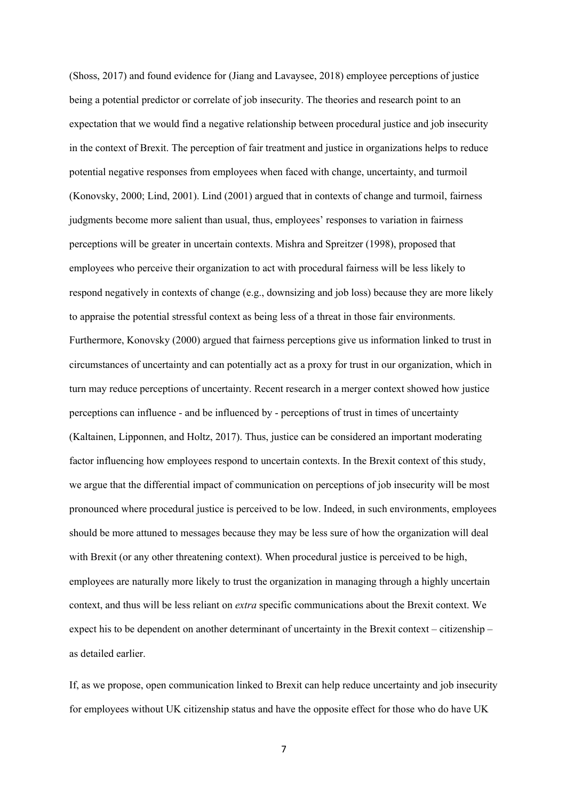(Shoss, 2017) and found evidence for (Jiang and Lavaysee, 2018) employee perceptions of justice being a potential predictor or correlate of job insecurity. The theories and research point to an expectation that we would find a negative relationship between procedural justice and job insecurity in the context of Brexit. The perception of fair treatment and justice in organizations helps to reduce potential negative responses from employees when faced with change, uncertainty, and turmoil (Konovsky, 2000; Lind, 2001). Lind (2001) argued that in contexts of change and turmoil, fairness judgments become more salient than usual, thus, employees' responses to variation in fairness perceptions will be greater in uncertain contexts. Mishra and Spreitzer (1998), proposed that employees who perceive their organization to act with procedural fairness will be less likely to respond negatively in contexts of change (e.g., downsizing and job loss) because they are more likely to appraise the potential stressful context as being less of a threat in those fair environments. Furthermore, Konovsky (2000) argued that fairness perceptions give us information linked to trust in circumstances of uncertainty and can potentially act as a proxy for trust in our organization, which in turn may reduce perceptions of uncertainty. Recent research in a merger context showed how justice perceptions can influence - and be influenced by - perceptions of trust in times of uncertainty (Kaltainen, Lipponnen, and Holtz, 2017). Thus, justice can be considered an important moderating factor influencing how employees respond to uncertain contexts. In the Brexit context of this study, we argue that the differential impact of communication on perceptions of job insecurity will be most pronounced where procedural justice is perceived to be low. Indeed, in such environments, employees should be more attuned to messages because they may be less sure of how the organization will deal with Brexit (or any other threatening context). When procedural justice is perceived to be high, employees are naturally more likely to trust the organization in managing through a highly uncertain context, and thus will be less reliant on *extra* specific communications about the Brexit context. We expect his to be dependent on another determinant of uncertainty in the Brexit context – citizenship – as detailed earlier.

If, as we propose, open communication linked to Brexit can help reduce uncertainty and job insecurity for employees without UK citizenship status and have the opposite effect for those who do have UK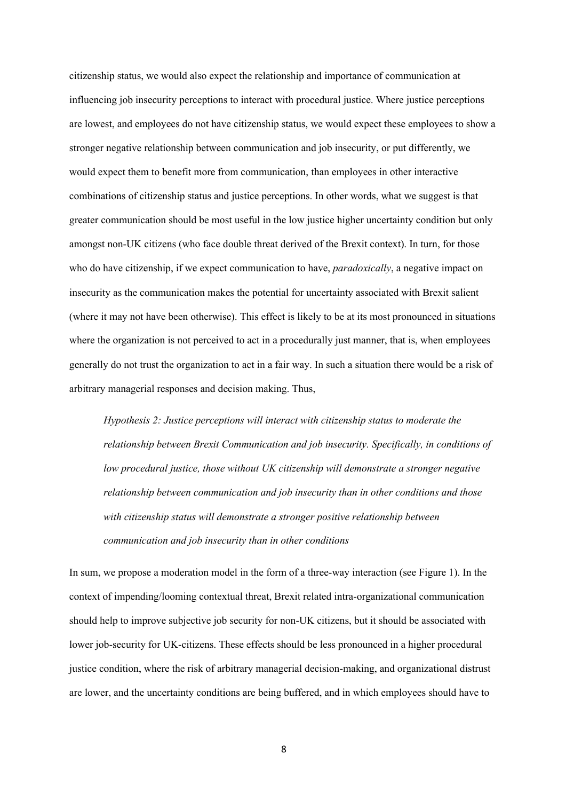citizenship status, we would also expect the relationship and importance of communication at influencing job insecurity perceptions to interact with procedural justice. Where justice perceptions are lowest, and employees do not have citizenship status, we would expect these employees to show a stronger negative relationship between communication and job insecurity, or put differently, we would expect them to benefit more from communication, than employees in other interactive combinations of citizenship status and justice perceptions. In other words, what we suggest is that greater communication should be most useful in the low justice higher uncertainty condition but only amongst non-UK citizens (who face double threat derived of the Brexit context). In turn, for those who do have citizenship, if we expect communication to have, *paradoxically*, a negative impact on insecurity as the communication makes the potential for uncertainty associated with Brexit salient (where it may not have been otherwise). This effect is likely to be at its most pronounced in situations where the organization is not perceived to act in a procedurally just manner, that is, when employees generally do not trust the organization to act in a fair way. In such a situation there would be a risk of arbitrary managerial responses and decision making. Thus,

*Hypothesis 2: Justice perceptions will interact with citizenship status to moderate the relationship between Brexit Communication and job insecurity. Specifically, in conditions of low procedural justice, those without UK citizenship will demonstrate a stronger negative relationship between communication and job insecurity than in other conditions and those with citizenship status will demonstrate a stronger positive relationship between communication and job insecurity than in other conditions*

In sum, we propose a moderation model in the form of a three-way interaction (see Figure 1). In the context of impending/looming contextual threat, Brexit related intra-organizational communication should help to improve subjective job security for non-UK citizens, but it should be associated with lower job-security for UK-citizens. These effects should be less pronounced in a higher procedural justice condition, where the risk of arbitrary managerial decision-making, and organizational distrust are lower, and the uncertainty conditions are being buffered, and in which employees should have to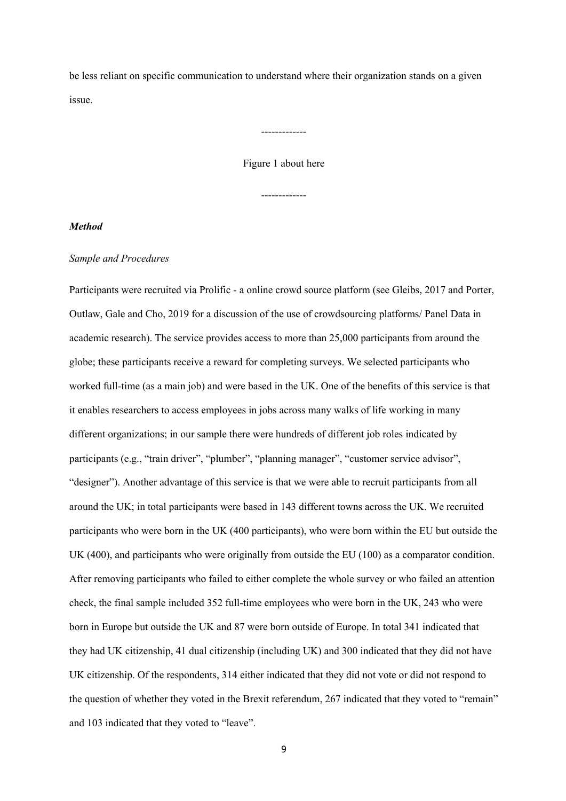be less reliant on specific communication to understand where their organization stands on a given issue.

Figure 1 about here

-------------

-------------

#### *Method*

#### *Sample and Procedures*

Participants were recruited via Prolific - a online crowd source platform (see Gleibs, 2017 and Porter, Outlaw, Gale and Cho, 2019 for a discussion of the use of crowdsourcing platforms/ Panel Data in academic research). The service provides access to more than 25,000 participants from around the globe; these participants receive a reward for completing surveys. We selected participants who worked full-time (as a main job) and were based in the UK. One of the benefits of this service is that it enables researchers to access employees in jobs across many walks of life working in many different organizations; in our sample there were hundreds of different job roles indicated by participants (e.g., "train driver", "plumber", "planning manager", "customer service advisor", "designer"). Another advantage of this service is that we were able to recruit participants from all around the UK; in total participants were based in 143 different towns across the UK. We recruited participants who were born in the UK (400 participants), who were born within the EU but outside the UK (400), and participants who were originally from outside the EU (100) as a comparator condition. After removing participants who failed to either complete the whole survey or who failed an attention check, the final sample included 352 full-time employees who were born in the UK, 243 who were born in Europe but outside the UK and 87 were born outside of Europe. In total 341 indicated that they had UK citizenship, 41 dual citizenship (including UK) and 300 indicated that they did not have UK citizenship. Of the respondents, 314 either indicated that they did not vote or did not respond to the question of whether they voted in the Brexit referendum, 267 indicated that they voted to "remain" and 103 indicated that they voted to "leave".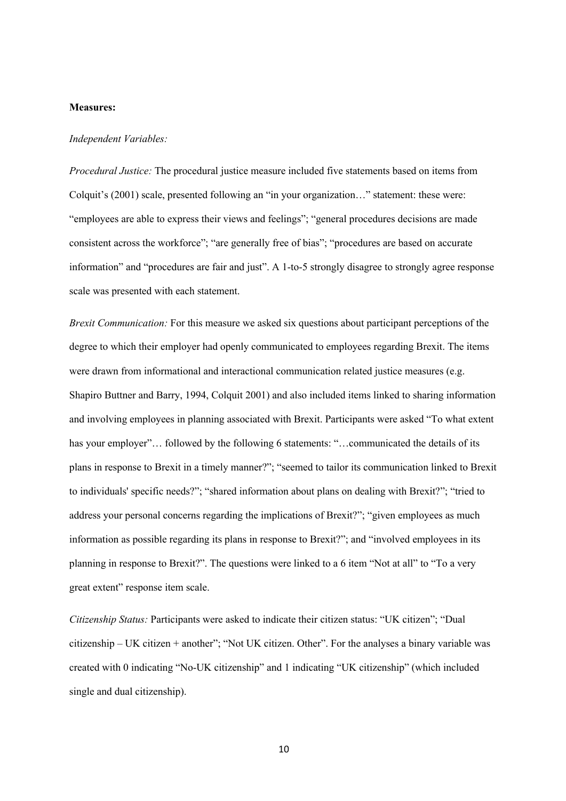#### **Measures:**

#### *Independent Variables:*

*Procedural Justice:* The procedural justice measure included five statements based on items from Colquit's (2001) scale, presented following an "in your organization…" statement: these were: "employees are able to express their views and feelings"; "general procedures decisions are made consistent across the workforce"; "are generally free of bias"; "procedures are based on accurate information" and "procedures are fair and just". A 1-to-5 strongly disagree to strongly agree response scale was presented with each statement.

*Brexit Communication:* For this measure we asked six questions about participant perceptions of the degree to which their employer had openly communicated to employees regarding Brexit. The items were drawn from informational and interactional communication related justice measures (e.g. Shapiro Buttner and Barry, 1994, Colquit 2001) and also included items linked to sharing information and involving employees in planning associated with Brexit. Participants were asked "To what extent has your employer"... followed by the following 6 statements: "...communicated the details of its plans in response to Brexit in a timely manner?"; "seemed to tailor its communication linked to Brexit to individuals' specific needs?"; "shared information about plans on dealing with Brexit?"; "tried to address your personal concerns regarding the implications of Brexit?"; "given employees as much information as possible regarding its plans in response to Brexit?"; and "involved employees in its planning in response to Brexit?". The questions were linked to a 6 item "Not at all" to "To a very great extent" response item scale.

*Citizenship Status:* Participants were asked to indicate their citizen status: "UK citizen"; "Dual citizenship – UK citizen + another"; "Not UK citizen. Other". For the analyses a binary variable was created with 0 indicating "No-UK citizenship" and 1 indicating "UK citizenship" (which included single and dual citizenship).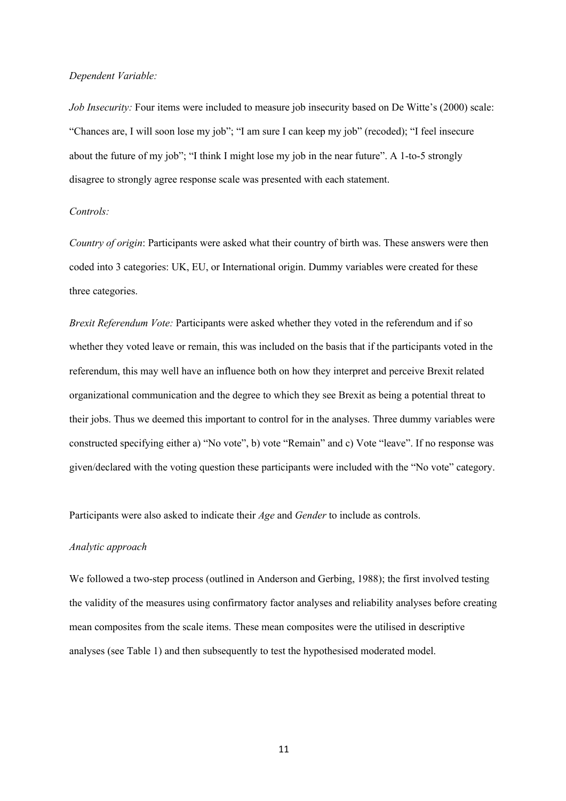#### *Dependent Variable:*

*Job Insecurity:* Four items were included to measure job insecurity based on De Witte's (2000) scale: "Chances are, I will soon lose my job"; "I am sure I can keep my job" (recoded); "I feel insecure about the future of my job"; "I think I might lose my job in the near future". A 1-to-5 strongly disagree to strongly agree response scale was presented with each statement.

#### *Controls:*

*Country of origin*: Participants were asked what their country of birth was. These answers were then coded into 3 categories: UK, EU, or International origin. Dummy variables were created for these three categories.

*Brexit Referendum Vote:* Participants were asked whether they voted in the referendum and if so whether they voted leave or remain, this was included on the basis that if the participants voted in the referendum, this may well have an influence both on how they interpret and perceive Brexit related organizational communication and the degree to which they see Brexit as being a potential threat to their jobs. Thus we deemed this important to control for in the analyses. Three dummy variables were constructed specifying either a) "No vote", b) vote "Remain" and c) Vote "leave". If no response was given/declared with the voting question these participants were included with the "No vote" category.

Participants were also asked to indicate their *Age* and *Gender* to include as controls.

#### *Analytic approach*

We followed a two-step process (outlined in Anderson and Gerbing, 1988); the first involved testing the validity of the measures using confirmatory factor analyses and reliability analyses before creating mean composites from the scale items. These mean composites were the utilised in descriptive analyses (see Table 1) and then subsequently to test the hypothesised moderated model.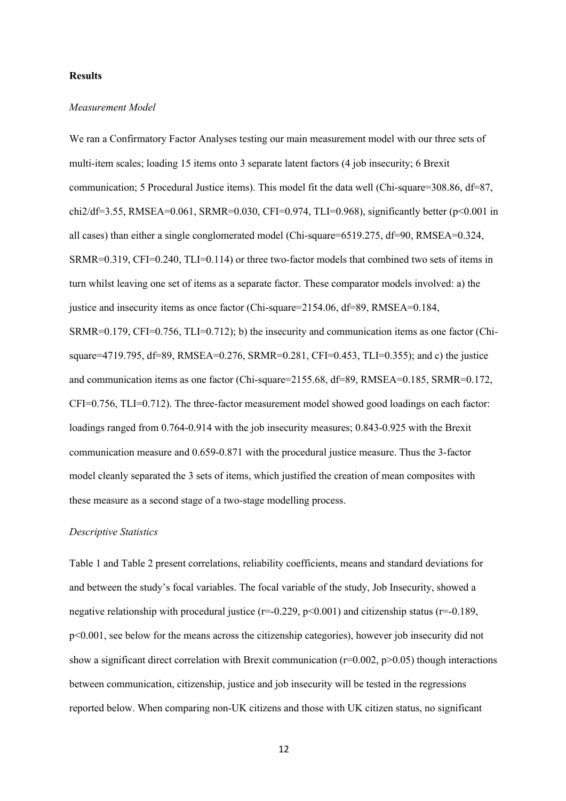#### **Results**

#### *Measurement Model*

We ran a Confirmatory Factor Analyses testing our main measurement model with our three sets of multi-item scales; loading 15 items onto 3 separate latent factors (4 job insecurity; 6 Brexit communication; 5 Procedural Justice items). This model fit the data well (Chi-square=308.86, df=87, chi2/df=3.55, RMSEA=0.061, SRMR=0.030, CFI=0.974, TLI=0.968), significantly better (p<0.001 in all cases) than either a single conglomerated model (Chi-square=6519.275, df=90, RMSEA=0.324, SRMR=0.319, CFI=0.240, TLI=0.114) or three two-factor models that combined two sets of items in turn whilst leaving one set of items as a separate factor. These comparator models involved: a) the justice and insecurity items as once factor (Chi-square=2154.06, df=89, RMSEA=0.184, SRMR=0.179, CFI=0.756, TLI=0.712); b) the insecurity and communication items as one factor (Chisquare=4719.795, df=89, RMSEA=0.276, SRMR=0.281, CFI=0.453, TLI=0.355); and c) the justice and communication items as one factor (Chi-square=2155.68, df=89, RMSEA=0.185, SRMR=0.172, CFI=0.756, TLI=0.712). The three-factor measurement model showed good loadings on each factor: loadings ranged from 0.764-0.914 with the job insecurity measures; 0.843-0.925 with the Brexit communication measure and 0.659-0.871 with the procedural justice measure. Thus the 3-factor model cleanly separated the 3 sets of items, which justified the creation of mean composites with these measure as a second stage of a two-stage modelling process.

#### *Descriptive Statistics*

Table 1 and Table 2 present correlations, reliability coefficients, means and standard deviations for and between the study's focal variables. The focal variable of the study, Job Insecurity, showed a negative relationship with procedural justice ( $r=0.229$ ,  $p<0.001$ ) and citizenship status ( $r=-0.189$ , p<0.001, see below for the means across the citizenship categories), however job insecurity did not show a significant direct correlation with Brexit communication ( $r=0.002$ ,  $p>0.05$ ) though interactions between communication, citizenship, justice and job insecurity will be tested in the regressions reported below. When comparing non-UK citizens and those with UK citizen status, no significant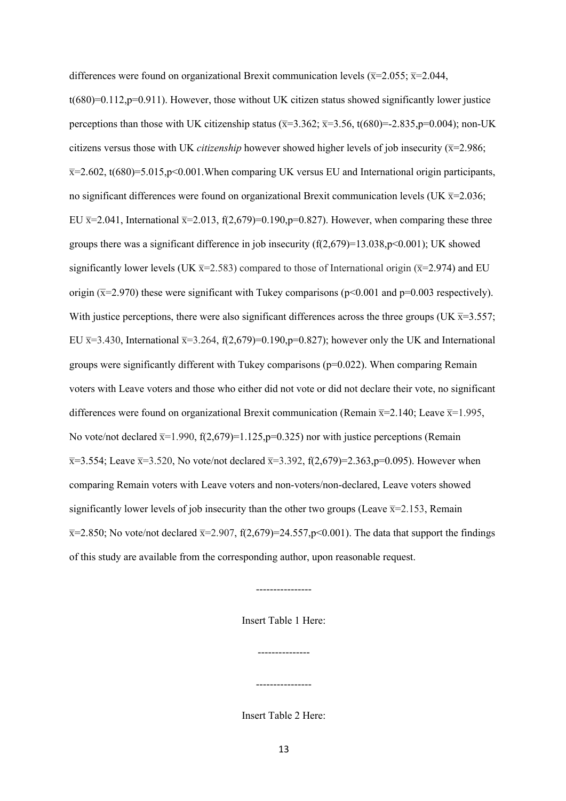differences were found on organizational Brexit communication levels ( $\overline{x}$ =2.055;  $\overline{x}$ =2.044,

 $t(680)=0.112$ ,  $p=0.911$ ). However, those without UK citizen status showed significantly lower justice perceptions than those with UK citizenship status ( $\overline{x}=3.362$ ;  $\overline{x}=3.56$ , t(680)=-2.835,p=0.004); non-UK citizens versus those with UK *citizenship* however showed higher levels of job insecurity  $(\overline{x}=2.986;$  $\overline{x}$ =2.602, t(680)=5.015,p<0.001. When comparing UK versus EU and International origin participants, no significant differences were found on organizational Brexit communication levels (UK  $\overline{x}=2.036$ ; EU  $\overline{x}$ =2.041, International  $\overline{x}$ =2.013, f(2,679)=0.190,p=0.827). However, when comparing these three groups there was a significant difference in job insecurity (f(2,679)=13.038,p<0.001); UK showed significantly lower levels (UK  $\bar{x}=2.583$ ) compared to those of International origin ( $\bar{x}=2.974$ ) and EU origin ( $\bar{x}$ =2.970) these were significant with Tukey comparisons (p<0.001 and p=0.003 respectively). With justice perceptions, there were also significant differences across the three groups (UK  $\overline{x}=3.557$ ; EU  $\overline{x}$ =3.430, International  $\overline{x}$ =3.264, f(2,679)=0.190,p=0.827); however only the UK and International groups were significantly different with Tukey comparisons ( $p=0.022$ ). When comparing Remain voters with Leave voters and those who either did not vote or did not declare their vote, no significant differences were found on organizational Brexit communication (Remain  $\overline{x}=2.140$ ; Leave  $\overline{x}=1.995$ , No vote/not declared  $\overline{x}$ =1.990, f(2,679)=1.125,p=0.325) nor with justice perceptions (Remain  $\overline{x}$ =3.554; Leave  $\overline{x}$ =3.520, No vote/not declared  $\overline{x}$ =3.392, f(2,679)=2.363,p=0.095). However when comparing Remain voters with Leave voters and non-voters/non-declared, Leave voters showed significantly lower levels of job insecurity than the other two groups (Leave  $\overline{x}=2.153$ , Remain  $\overline{x}$ =2.850; No vote/not declared  $\overline{x}$ =2.907, f(2,679)=24.557,p<0.001). The data that support the findings of this study are available from the corresponding author, upon reasonable request.

Insert Table 1 Here:

---------------

----------------

----------------

Insert Table 2 Here: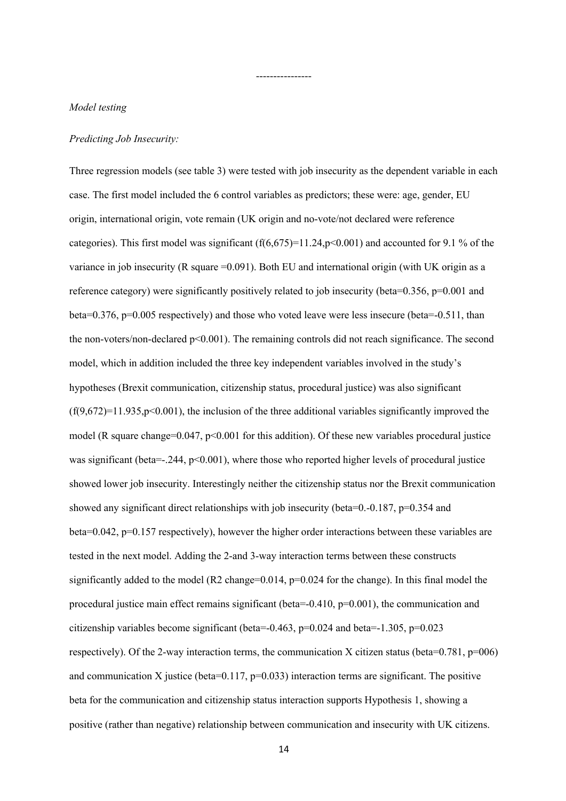#### *Model testing*

#### *Predicting Job Insecurity:*

Three regression models (see table 3) were tested with job insecurity as the dependent variable in each case. The first model included the 6 control variables as predictors; these were: age, gender, EU origin, international origin, vote remain (UK origin and no-vote/not declared were reference categories). This first model was significant  $(f(6,675)=11.24, p<0.001)$  and accounted for 9.1 % of the variance in job insecurity (R square =0.091). Both EU and international origin (with UK origin as a reference category) were significantly positively related to job insecurity (beta=0.356, p=0.001 and beta=0.376, p=0.005 respectively) and those who voted leave were less insecure (beta=-0.511, than the non-voters/non-declared p<0.001). The remaining controls did not reach significance. The second model, which in addition included the three key independent variables involved in the study's hypotheses (Brexit communication, citizenship status, procedural justice) was also significant  $(f(9,672)=11.935,p<0.001)$ , the inclusion of the three additional variables significantly improved the model (R square change=0.047,  $p$ <0.001 for this addition). Of these new variables procedural justice was significant (beta=-.244, p<0.001), where those who reported higher levels of procedural justice showed lower job insecurity. Interestingly neither the citizenship status nor the Brexit communication showed any significant direct relationships with job insecurity (beta=0.-0.187, p=0.354 and beta=0.042, p=0.157 respectively), however the higher order interactions between these variables are tested in the next model. Adding the 2-and 3-way interaction terms between these constructs significantly added to the model (R2 change= $0.014$ , p= $0.024$  for the change). In this final model the procedural justice main effect remains significant (beta=-0.410, p=0.001), the communication and citizenship variables become significant (beta= $-0.463$ , p= $0.024$  and beta= $-1.305$ , p= $0.023$ respectively). Of the 2-way interaction terms, the communication X citizen status (beta=0.781,  $p=006$ ) and communication X justice (beta=0.117,  $p=0.033$ ) interaction terms are significant. The positive beta for the communication and citizenship status interaction supports Hypothesis 1, showing a positive (rather than negative) relationship between communication and insecurity with UK citizens.

----------------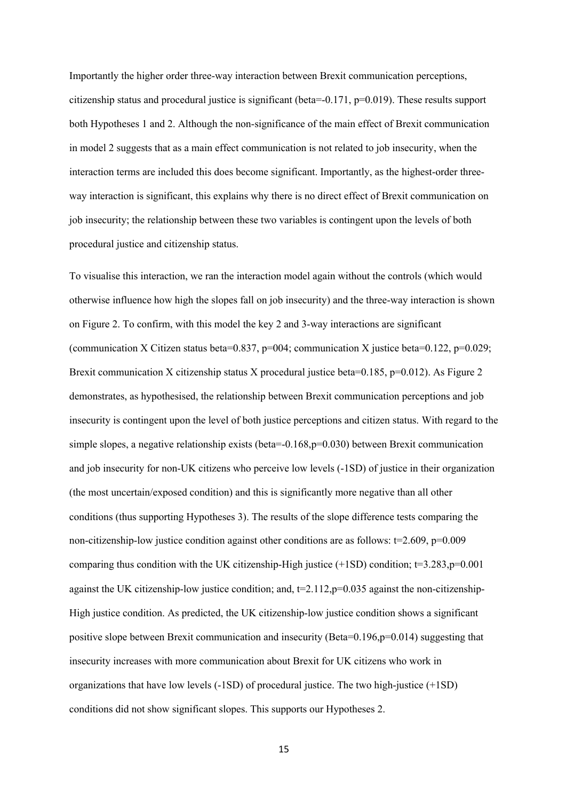Importantly the higher order three-way interaction between Brexit communication perceptions, citizenship status and procedural justice is significant (beta= $-0.171$ , p= $0.019$ ). These results support both Hypotheses 1 and 2. Although the non-significance of the main effect of Brexit communication in model 2 suggests that as a main effect communication is not related to job insecurity, when the interaction terms are included this does become significant. Importantly, as the highest-order threeway interaction is significant, this explains why there is no direct effect of Brexit communication on job insecurity; the relationship between these two variables is contingent upon the levels of both procedural justice and citizenship status.

To visualise this interaction, we ran the interaction model again without the controls (which would otherwise influence how high the slopes fall on job insecurity) and the three-way interaction is shown on Figure 2. To confirm, with this model the key 2 and 3-way interactions are significant (communication X Citizen status beta=0.837, p=004; communication X justice beta=0.122, p=0.029; Brexit communication X citizenship status X procedural justice beta=0.185,  $p=0.012$ ). As Figure 2 demonstrates, as hypothesised, the relationship between Brexit communication perceptions and job insecurity is contingent upon the level of both justice perceptions and citizen status. With regard to the simple slopes, a negative relationship exists (beta=-0.168,p=0.030) between Brexit communication and job insecurity for non-UK citizens who perceive low levels (-1SD) of justice in their organization (the most uncertain/exposed condition) and this is significantly more negative than all other conditions (thus supporting Hypotheses 3). The results of the slope difference tests comparing the non-citizenship-low justice condition against other conditions are as follows: t=2.609, p=0.009 comparing thus condition with the UK citizenship-High justice  $(+1SD)$  condition;  $t=3.283$ ,  $p=0.001$ against the UK citizenship-low justice condition; and,  $t=2.112$ ,  $p=0.035$  against the non-citizenship-High justice condition. As predicted, the UK citizenship-low justice condition shows a significant positive slope between Brexit communication and insecurity (Beta=0.196,p=0.014) suggesting that insecurity increases with more communication about Brexit for UK citizens who work in organizations that have low levels (-1SD) of procedural justice. The two high-justice (+1SD) conditions did not show significant slopes. This supports our Hypotheses 2.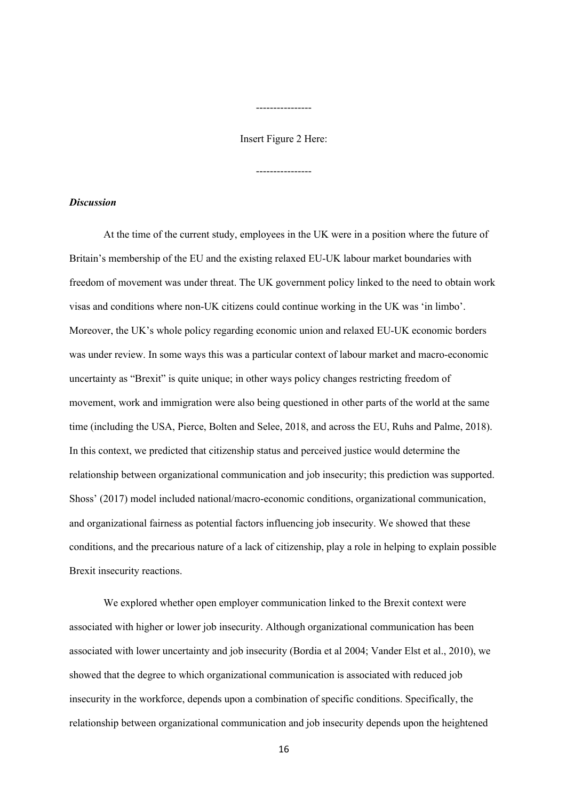Insert Figure 2 Here:

----------------

----------------

#### *Discussion*

At the time of the current study, employees in the UK were in a position where the future of Britain's membership of the EU and the existing relaxed EU-UK labour market boundaries with freedom of movement was under threat. The UK government policy linked to the need to obtain work visas and conditions where non-UK citizens could continue working in the UK was 'in limbo'. Moreover, the UK's whole policy regarding economic union and relaxed EU-UK economic borders was under review. In some ways this was a particular context of labour market and macro-economic uncertainty as "Brexit" is quite unique; in other ways policy changes restricting freedom of movement, work and immigration were also being questioned in other parts of the world at the same time (including the USA, Pierce, Bolten and Selee, 2018, and across the EU, Ruhs and Palme, 2018). In this context, we predicted that citizenship status and perceived justice would determine the relationship between organizational communication and job insecurity; this prediction was supported. Shoss' (2017) model included national/macro-economic conditions, organizational communication, and organizational fairness as potential factors influencing job insecurity. We showed that these conditions, and the precarious nature of a lack of citizenship, play a role in helping to explain possible Brexit insecurity reactions.

We explored whether open employer communication linked to the Brexit context were associated with higher or lower job insecurity. Although organizational communication has been associated with lower uncertainty and job insecurity (Bordia et al 2004; Vander Elst et al., 2010), we showed that the degree to which organizational communication is associated with reduced job insecurity in the workforce, depends upon a combination of specific conditions. Specifically, the relationship between organizational communication and job insecurity depends upon the heightened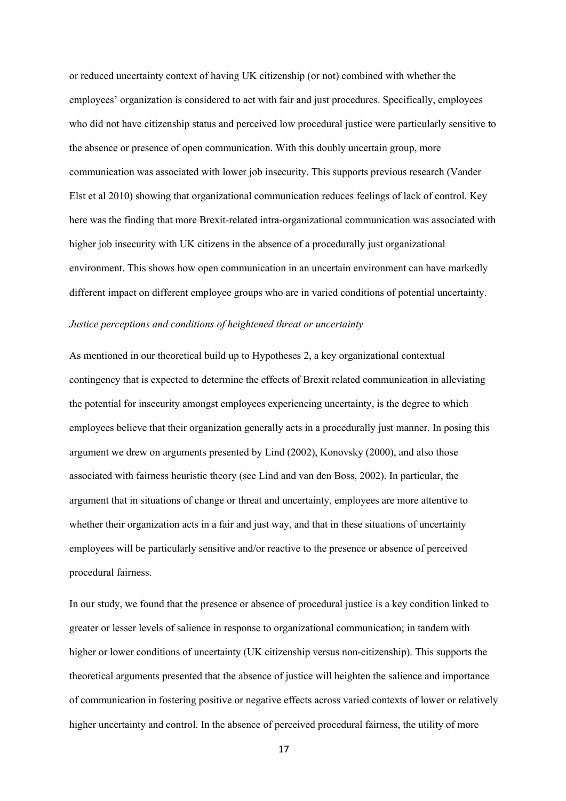or reduced uncertainty context of having UK citizenship (or not) combined with whether the employees' organization is considered to act with fair and just procedures. Specifically, employees who did not have citizenship status and perceived low procedural justice were particularly sensitive to the absence or presence of open communication. With this doubly uncertain group, more communication was associated with lower job insecurity. This supports previous research (Vander Elst et al 2010) showing that organizational communication reduces feelings of lack of control. Key here was the finding that more Brexit-related intra-organizational communication was associated with higher job insecurity with UK citizens in the absence of a procedurally just organizational environment. This shows how open communication in an uncertain environment can have markedly different impact on different employee groups who are in varied conditions of potential uncertainty.

## *Justice perceptions and conditions of heightened threat or uncertainty*

As mentioned in our theoretical build up to Hypotheses 2, a key organizational contextual contingency that is expected to determine the effects of Brexit related communication in alleviating the potential for insecurity amongst employees experiencing uncertainty, is the degree to which employees believe that their organization generally acts in a procedurally just manner. In posing this argument we drew on arguments presented by Lind (2002), Konovsky (2000), and also those associated with fairness heuristic theory (see Lind and van den Boss, 2002). In particular, the argument that in situations of change or threat and uncertainty, employees are more attentive to whether their organization acts in a fair and just way, and that in these situations of uncertainty employees will be particularly sensitive and/or reactive to the presence or absence of perceived procedural fairness.

In our study, we found that the presence or absence of procedural justice is a key condition linked to greater or lesser levels of salience in response to organizational communication; in tandem with higher or lower conditions of uncertainty (UK citizenship versus non-citizenship). This supports the theoretical arguments presented that the absence of justice will heighten the salience and importance of communication in fostering positive or negative effects across varied contexts of lower or relatively higher uncertainty and control. In the absence of perceived procedural fairness, the utility of more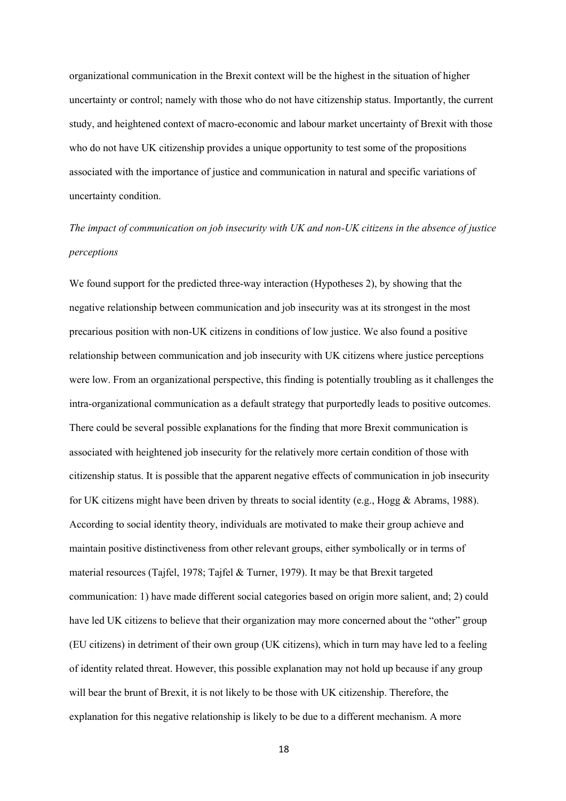organizational communication in the Brexit context will be the highest in the situation of higher uncertainty or control; namely with those who do not have citizenship status. Importantly, the current study, and heightened context of macro-economic and labour market uncertainty of Brexit with those who do not have UK citizenship provides a unique opportunity to test some of the propositions associated with the importance of justice and communication in natural and specific variations of uncertainty condition.

*The impact of communication on job insecurity with UK and non-UK citizens in the absence of justice perceptions*

We found support for the predicted three-way interaction (Hypotheses 2), by showing that the negative relationship between communication and job insecurity was at its strongest in the most precarious position with non-UK citizens in conditions of low justice. We also found a positive relationship between communication and job insecurity with UK citizens where justice perceptions were low. From an organizational perspective, this finding is potentially troubling as it challenges the intra-organizational communication as a default strategy that purportedly leads to positive outcomes. There could be several possible explanations for the finding that more Brexit communication is associated with heightened job insecurity for the relatively more certain condition of those with citizenship status. It is possible that the apparent negative effects of communication in job insecurity for UK citizens might have been driven by threats to social identity (e.g., Hogg & Abrams, 1988). According to social identity theory, individuals are motivated to make their group achieve and maintain positive distinctiveness from other relevant groups, either symbolically or in terms of material resources (Tajfel, 1978; Tajfel & Turner, 1979). It may be that Brexit targeted communication: 1) have made different social categories based on origin more salient, and; 2) could have led UK citizens to believe that their organization may more concerned about the "other" group (EU citizens) in detriment of their own group (UK citizens), which in turn may have led to a feeling of identity related threat. However, this possible explanation may not hold up because if any group will bear the brunt of Brexit, it is not likely to be those with UK citizenship. Therefore, the explanation for this negative relationship is likely to be due to a different mechanism. A more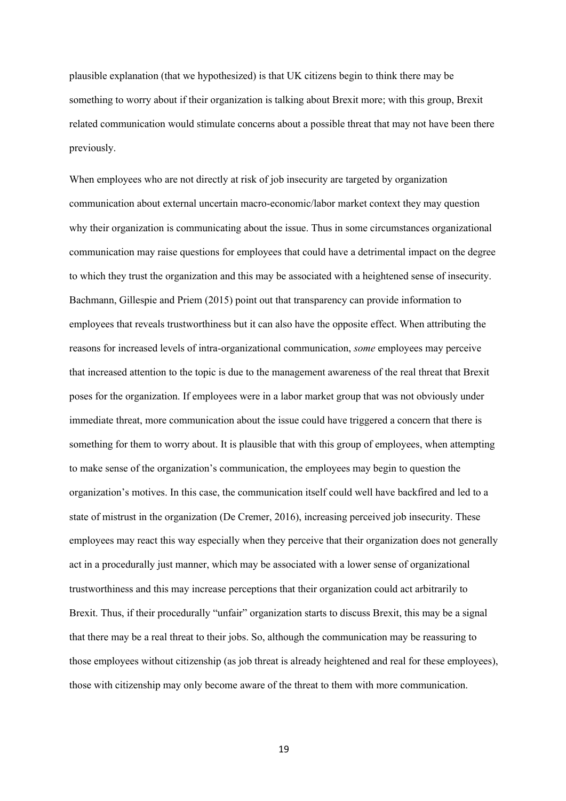plausible explanation (that we hypothesized) is that UK citizens begin to think there may be something to worry about if their organization is talking about Brexit more; with this group, Brexit related communication would stimulate concerns about a possible threat that may not have been there previously.

When employees who are not directly at risk of job insecurity are targeted by organization communication about external uncertain macro-economic/labor market context they may question why their organization is communicating about the issue. Thus in some circumstances organizational communication may raise questions for employees that could have a detrimental impact on the degree to which they trust the organization and this may be associated with a heightened sense of insecurity. Bachmann, Gillespie and Priem (2015) point out that transparency can provide information to employees that reveals trustworthiness but it can also have the opposite effect. When attributing the reasons for increased levels of intra-organizational communication, *some* employees may perceive that increased attention to the topic is due to the management awareness of the real threat that Brexit poses for the organization. If employees were in a labor market group that was not obviously under immediate threat, more communication about the issue could have triggered a concern that there is something for them to worry about. It is plausible that with this group of employees, when attempting to make sense of the organization's communication, the employees may begin to question the organization's motives. In this case, the communication itself could well have backfired and led to a state of mistrust in the organization (De Cremer, 2016), increasing perceived job insecurity. These employees may react this way especially when they perceive that their organization does not generally act in a procedurally just manner, which may be associated with a lower sense of organizational trustworthiness and this may increase perceptions that their organization could act arbitrarily to Brexit. Thus, if their procedurally "unfair" organization starts to discuss Brexit, this may be a signal that there may be a real threat to their jobs. So, although the communication may be reassuring to those employees without citizenship (as job threat is already heightened and real for these employees), those with citizenship may only become aware of the threat to them with more communication.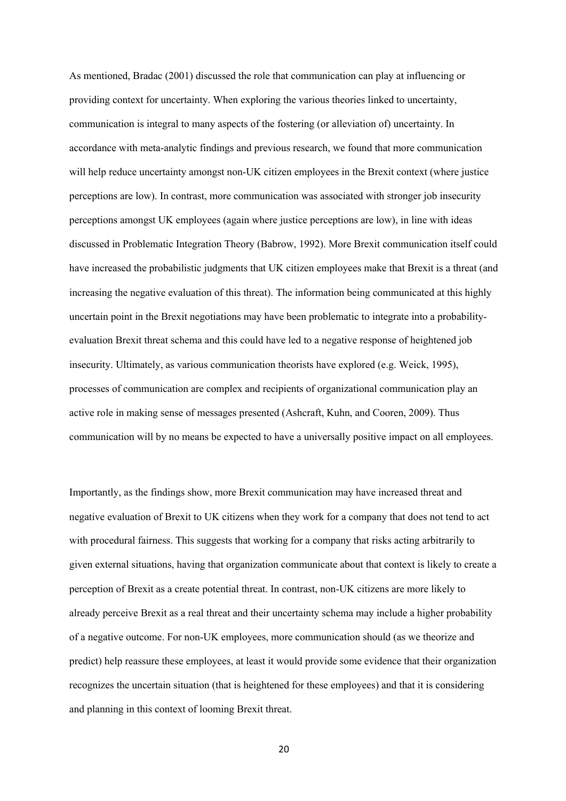As mentioned, Bradac (2001) discussed the role that communication can play at influencing or providing context for uncertainty. When exploring the various theories linked to uncertainty, communication is integral to many aspects of the fostering (or alleviation of) uncertainty. In accordance with meta-analytic findings and previous research, we found that more communication will help reduce uncertainty amongst non-UK citizen employees in the Brexit context (where justice perceptions are low). In contrast, more communication was associated with stronger job insecurity perceptions amongst UK employees (again where justice perceptions are low), in line with ideas discussed in Problematic Integration Theory (Babrow, 1992). More Brexit communication itself could have increased the probabilistic judgments that UK citizen employees make that Brexit is a threat (and increasing the negative evaluation of this threat). The information being communicated at this highly uncertain point in the Brexit negotiations may have been problematic to integrate into a probabilityevaluation Brexit threat schema and this could have led to a negative response of heightened job insecurity. Ultimately, as various communication theorists have explored (e.g. Weick, 1995), processes of communication are complex and recipients of organizational communication play an active role in making sense of messages presented (Ashcraft, Kuhn, and Cooren, 2009). Thus communication will by no means be expected to have a universally positive impact on all employees.

Importantly, as the findings show, more Brexit communication may have increased threat and negative evaluation of Brexit to UK citizens when they work for a company that does not tend to act with procedural fairness. This suggests that working for a company that risks acting arbitrarily to given external situations, having that organization communicate about that context is likely to create a perception of Brexit as a create potential threat. In contrast, non-UK citizens are more likely to already perceive Brexit as a real threat and their uncertainty schema may include a higher probability of a negative outcome. For non-UK employees, more communication should (as we theorize and predict) help reassure these employees, at least it would provide some evidence that their organization recognizes the uncertain situation (that is heightened for these employees) and that it is considering and planning in this context of looming Brexit threat.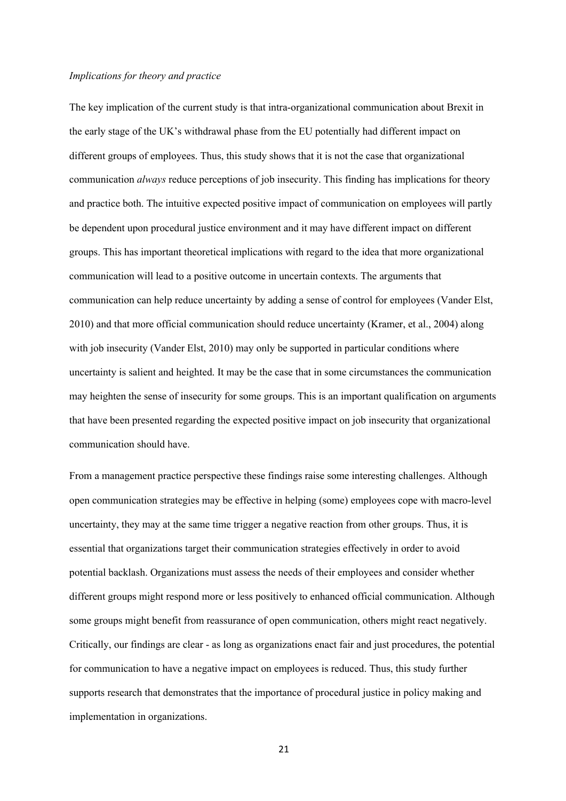#### *Implications for theory and practice*

The key implication of the current study is that intra-organizational communication about Brexit in the early stage of the UK's withdrawal phase from the EU potentially had different impact on different groups of employees. Thus, this study shows that it is not the case that organizational communication *always* reduce perceptions of job insecurity. This finding has implications for theory and practice both. The intuitive expected positive impact of communication on employees will partly be dependent upon procedural justice environment and it may have different impact on different groups. This has important theoretical implications with regard to the idea that more organizational communication will lead to a positive outcome in uncertain contexts. The arguments that communication can help reduce uncertainty by adding a sense of control for employees (Vander Elst, 2010) and that more official communication should reduce uncertainty (Kramer, et al., 2004) along with job insecurity (Vander Elst, 2010) may only be supported in particular conditions where uncertainty is salient and heighted. It may be the case that in some circumstances the communication may heighten the sense of insecurity for some groups. This is an important qualification on arguments that have been presented regarding the expected positive impact on job insecurity that organizational communication should have.

From a management practice perspective these findings raise some interesting challenges. Although open communication strategies may be effective in helping (some) employees cope with macro-level uncertainty, they may at the same time trigger a negative reaction from other groups. Thus, it is essential that organizations target their communication strategies effectively in order to avoid potential backlash. Organizations must assess the needs of their employees and consider whether different groups might respond more or less positively to enhanced official communication. Although some groups might benefit from reassurance of open communication, others might react negatively. Critically, our findings are clear - as long as organizations enact fair and just procedures, the potential for communication to have a negative impact on employees is reduced. Thus, this study further supports research that demonstrates that the importance of procedural justice in policy making and implementation in organizations.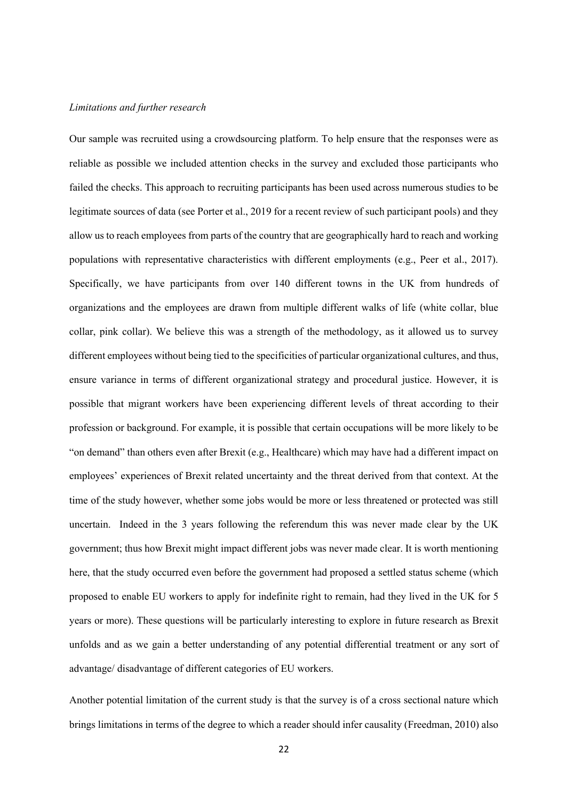#### *Limitations and further research*

Our sample was recruited using a crowdsourcing platform. To help ensure that the responses were as reliable as possible we included attention checks in the survey and excluded those participants who failed the checks. This approach to recruiting participants has been used across numerous studies to be legitimate sources of data (see Porter et al., 2019 for a recent review of such participant pools) and they allow us to reach employees from parts of the country that are geographically hard to reach and working populations with representative characteristics with different employments (e.g., Peer et al., 2017). Specifically, we have participants from over 140 different towns in the UK from hundreds of organizations and the employees are drawn from multiple different walks of life (white collar, blue collar, pink collar). We believe this was a strength of the methodology, as it allowed us to survey different employees without being tied to the specificities of particular organizational cultures, and thus, ensure variance in terms of different organizational strategy and procedural justice. However, it is possible that migrant workers have been experiencing different levels of threat according to their profession or background. For example, it is possible that certain occupations will be more likely to be "on demand" than others even after Brexit (e.g., Healthcare) which may have had a different impact on employees' experiences of Brexit related uncertainty and the threat derived from that context. At the time of the study however, whether some jobs would be more or less threatened or protected was still uncertain. Indeed in the 3 years following the referendum this was never made clear by the UK government; thus how Brexit might impact different jobs was never made clear. It is worth mentioning here, that the study occurred even before the government had proposed a settled status scheme (which proposed to enable EU workers to apply for indefinite right to remain, had they lived in the UK for 5 years or more). These questions will be particularly interesting to explore in future research as Brexit unfolds and as we gain a better understanding of any potential differential treatment or any sort of advantage/ disadvantage of different categories of EU workers.

Another potential limitation of the current study is that the survey is of a cross sectional nature which brings limitations in terms of the degree to which a reader should infer causality (Freedman, 2010) also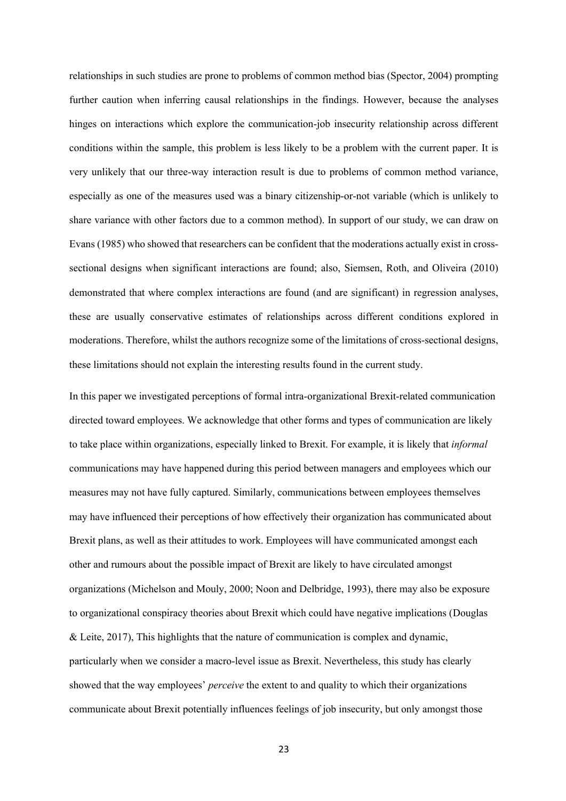relationships in such studies are prone to problems of common method bias (Spector, 2004) prompting further caution when inferring causal relationships in the findings. However, because the analyses hinges on interactions which explore the communication-job insecurity relationship across different conditions within the sample, this problem is less likely to be a problem with the current paper. It is very unlikely that our three-way interaction result is due to problems of common method variance, especially as one of the measures used was a binary citizenship-or-not variable (which is unlikely to share variance with other factors due to a common method). In support of our study, we can draw on Evans (1985) who showed that researchers can be confident that the moderations actually exist in crosssectional designs when significant interactions are found; also, Siemsen, Roth, and Oliveira (2010) demonstrated that where complex interactions are found (and are significant) in regression analyses, these are usually conservative estimates of relationships across different conditions explored in moderations. Therefore, whilst the authors recognize some of the limitations of cross-sectional designs, these limitations should not explain the interesting results found in the current study.

In this paper we investigated perceptions of formal intra-organizational Brexit-related communication directed toward employees. We acknowledge that other forms and types of communication are likely to take place within organizations, especially linked to Brexit. For example, it is likely that *informal* communications may have happened during this period between managers and employees which our measures may not have fully captured. Similarly, communications between employees themselves may have influenced their perceptions of how effectively their organization has communicated about Brexit plans, as well as their attitudes to work. Employees will have communicated amongst each other and rumours about the possible impact of Brexit are likely to have circulated amongst organizations (Michelson and Mouly, 2000; Noon and Delbridge, 1993), there may also be exposure to organizational conspiracy theories about Brexit which could have negative implications (Douglas & Leite, 2017), This highlights that the nature of communication is complex and dynamic, particularly when we consider a macro-level issue as Brexit. Nevertheless, this study has clearly showed that the way employees' *perceive* the extent to and quality to which their organizations communicate about Brexit potentially influences feelings of job insecurity, but only amongst those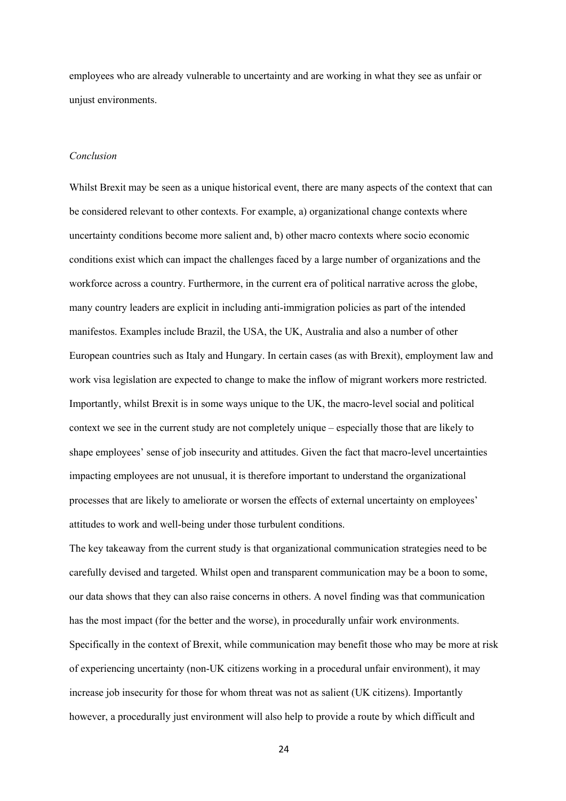employees who are already vulnerable to uncertainty and are working in what they see as unfair or unjust environments.

#### *Conclusion*

Whilst Brexit may be seen as a unique historical event, there are many aspects of the context that can be considered relevant to other contexts. For example, a) organizational change contexts where uncertainty conditions become more salient and, b) other macro contexts where socio economic conditions exist which can impact the challenges faced by a large number of organizations and the workforce across a country. Furthermore, in the current era of political narrative across the globe, many country leaders are explicit in including anti-immigration policies as part of the intended manifestos. Examples include Brazil, the USA, the UK, Australia and also a number of other European countries such as Italy and Hungary. In certain cases (as with Brexit), employment law and work visa legislation are expected to change to make the inflow of migrant workers more restricted. Importantly, whilst Brexit is in some ways unique to the UK, the macro-level social and political context we see in the current study are not completely unique – especially those that are likely to shape employees' sense of job insecurity and attitudes. Given the fact that macro-level uncertainties impacting employees are not unusual, it is therefore important to understand the organizational processes that are likely to ameliorate or worsen the effects of external uncertainty on employees' attitudes to work and well-being under those turbulent conditions.

The key takeaway from the current study is that organizational communication strategies need to be carefully devised and targeted. Whilst open and transparent communication may be a boon to some, our data shows that they can also raise concerns in others. A novel finding was that communication has the most impact (for the better and the worse), in procedurally unfair work environments. Specifically in the context of Brexit, while communication may benefit those who may be more at risk of experiencing uncertainty (non-UK citizens working in a procedural unfair environment), it may increase job insecurity for those for whom threat was not as salient (UK citizens). Importantly however, a procedurally just environment will also help to provide a route by which difficult and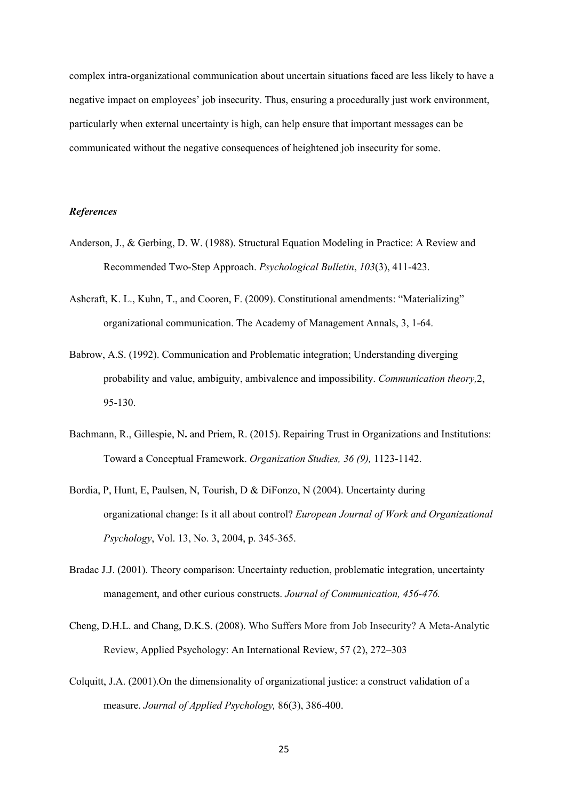complex intra-organizational communication about uncertain situations faced are less likely to have a negative impact on employees' job insecurity. Thus, ensuring a procedurally just work environment, particularly when external uncertainty is high, can help ensure that important messages can be communicated without the negative consequences of heightened job insecurity for some.

#### *References*

- Anderson, J., & Gerbing, D. W. (1988). Structural Equation Modeling in Practice: A Review and Recommended Two-Step Approach. *Psychological Bulletin*, *103*(3), 411-423.
- Ashcraft, K. L., Kuhn, T., and Cooren, F. (2009). Constitutional amendments: "Materializing" organizational communication. The Academy of Management Annals, 3, 1-64.
- Babrow, A.S. (1992). Communication and Problematic integration; Understanding diverging probability and value, ambiguity, ambivalence and impossibility. *Communication theory,*2, 95-130.
- Bachmann, R., Gillespie, N**.** and Priem, R. (2015). Repairing Trust in Organizations and Institutions: Toward a Conceptual Framework. *Organization Studies, 36 (9),* 1123-1142.
- Bordia, P, Hunt, E, Paulsen, N, Tourish, D & DiFonzo, N (2004). Uncertainty during organizational change: Is it all about control? *European Journal of Work and Organizational Psychology*, Vol. 13, No. 3, 2004, p. 345-365.
- Bradac J.J. (2001). Theory comparison: Uncertainty reduction, problematic integration, uncertainty management, and other curious constructs. *Journal of Communication, 456-476.*
- Cheng, D.H.L. and Chang, D.K.S. (2008). Who Suffers More from Job Insecurity? A Meta-Analytic Review, Applied Psychology: An International Review, 57 (2), 272–303
- Colquitt, J.A. (2001).On the dimensionality of organizational justice: a construct validation of a measure. *Journal of Applied Psychology,* 86(3), 386-400.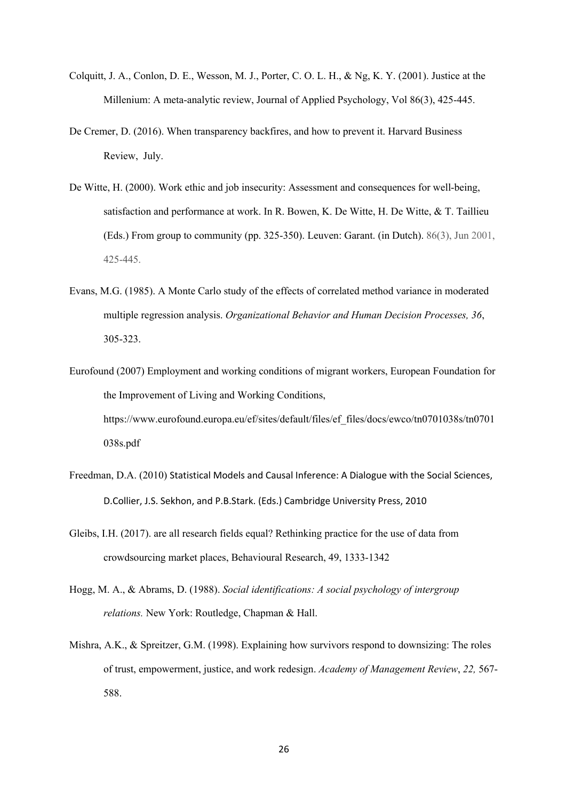- Colquitt, J. A., Conlon, D. E., Wesson, M. J., Porter, C. O. L. H., & Ng, K. Y. (2001). Justice at the Millenium: A meta-analytic review, Journal of Applied Psychology, Vol 86(3), 425-445.
- De Cremer, D. (2016). When transparency backfires, and how to prevent it. Harvard Business Review, July.
- De Witte, H. (2000). Work ethic and job insecurity: Assessment and consequences for well-being, satisfaction and performance at work. In R. Bowen, K. De Witte, H. De Witte, & T. Taillieu (Eds.) From group to community (pp. 325-350). Leuven: Garant. (in Dutch). 86(3), Jun 2001, 425-445.
- Evans, M.G. (1985). A Monte Carlo study of the effects of correlated method variance in moderated multiple regression analysis. *Organizational Behavior and Human Decision Processes, 36*, 305-323.
- Eurofound (2007) Employment and working conditions of migrant workers, European Foundation for the Improvement of Living and Working Conditions, https://www.eurofound.europa.eu/ef/sites/default/files/ef\_files/docs/ewco/tn0701038s/tn0701 038s.pdf
- Freedman, D.A. (2010) Statistical Models and Causal Inference: A Dialogue with the Social Sciences, D.Collier, J.S. Sekhon, and P.B.Stark. (Eds.) Cambridge University Press, 2010
- Gleibs, I.H. (2017). are all research fields equal? Rethinking practice for the use of data from crowdsourcing market places, Behavioural Research, 49, 1333-1342
- Hogg, M. A., & Abrams, D. (1988). *Social identifications: A social psychology of intergroup relations.* New York: Routledge, Chapman & Hall.
- Mishra, A.K., & Spreitzer, G.M. (1998). Explaining how survivors respond to downsizing: The roles of trust, empowerment, justice, and work redesign. *Academy of Management Review*, *22,* 567- 588.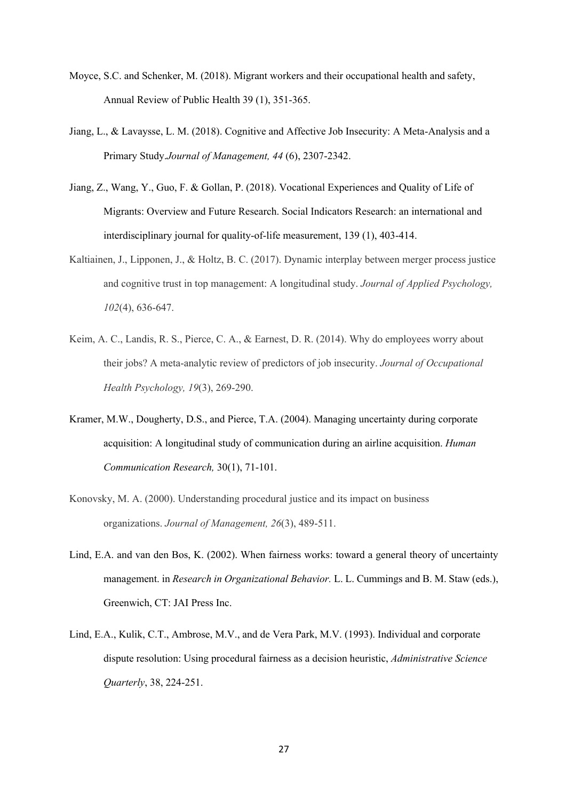- Moyce, S.C. and Schenker, M. (2018). Migrant workers and their occupational health and safety, Annual Review of Public Health 39 (1), 351-365.
- Jiang, L., & Lavaysse, L. M. (2018). Cognitive and Affective Job Insecurity: A Meta-Analysis and a Primary Study.*Journal of Management, 44* (6), 2307-2342.
- Jiang, Z., Wang, Y., Guo, F. & Gollan, P. (2018). Vocational Experiences and Quality of Life of Migrants: Overview and Future Research. Social Indicators Research: an international and interdisciplinary journal for quality-of-life measurement, 139 (1), 403-414.
- Kaltiainen, J., Lipponen, J., & Holtz, B. C. (2017). Dynamic interplay between merger process justice and cognitive trust in top management: A longitudinal study. *Journal of Applied Psychology, 102*(4), 636-647.
- Keim, A. C., Landis, R. S., Pierce, C. A., & Earnest, D. R. (2014). Why do employees worry about their jobs? A meta-analytic review of predictors of job insecurity. *Journal of Occupational Health Psychology, 19*(3), 269-290.
- Kramer, M.W., Dougherty, D.S., and Pierce, T.A. (2004). Managing uncertainty during corporate acquisition: A longitudinal study of communication during an airline acquisition. *Human Communication Research,* 30(1), 71-101.
- Konovsky, M. A. (2000). Understanding procedural justice and its impact on business organizations. *Journal of Management, 26*(3), 489-511.
- Lind, E.A. and van den Bos, K. (2002). When fairness works: toward a general theory of uncertainty management. in *Research in Organizational Behavior.* L. L. Cummings and B. M. Staw (eds.), Greenwich, CT: JAI Press Inc.
- Lind, E.A., Kulik, C.T., Ambrose, M.V., and de Vera Park, M.V. (1993). Individual and corporate dispute resolution: Using procedural fairness as a decision heuristic, *Administrative Science Quarterly*, 38, 224-251.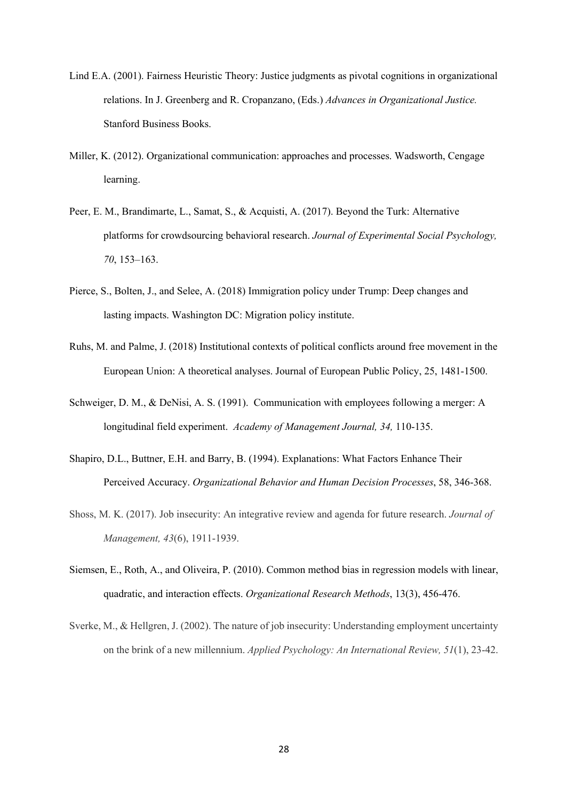- Lind E.A. (2001). Fairness Heuristic Theory: Justice judgments as pivotal cognitions in organizational relations. In J. Greenberg and R. Cropanzano, (Eds.) *Advances in Organizational Justice.* Stanford Business Books.
- Miller, K. (2012). Organizational communication: approaches and processes. Wadsworth, Cengage learning.
- Peer, E. M., Brandimarte, L., Samat, S., & Acquisti, A. (2017). Beyond the Turk: Alternative platforms for crowdsourcing behavioral research. *Journal of Experimental Social Psychology, 70*, 153–163.
- Pierce, S., Bolten, J., and Selee, A. (2018) Immigration policy under Trump: Deep changes and lasting impacts. Washington DC: Migration policy institute.
- Ruhs, M. and Palme, J. (2018) Institutional contexts of political conflicts around free movement in the European Union: A theoretical analyses. Journal of European Public Policy, 25, 1481-1500.
- Schweiger, D. M., & DeNisi, A. S. (1991). Communication with employees following a merger: A longitudinal field experiment. *Academy of Management Journal, 34,* 110-135.
- Shapiro, D.L., Buttner, E.H. and Barry, B. (1994). Explanations: What Factors Enhance Their Perceived Accuracy. *Organizational Behavior and Human Decision Processes*, 58, 346-368.
- Shoss, M. K. (2017). Job insecurity: An integrative review and agenda for future research. *Journal of Management, 43*(6), 1911-1939.
- Siemsen, E., Roth, A., and Oliveira, P. (2010). Common method bias in regression models with linear, quadratic, and interaction effects. *Organizational Research Methods*, 13(3), 456-476.
- Sverke, M., & Hellgren, J. (2002). The nature of job insecurity: Understanding employment uncertainty on the brink of a new millennium. *Applied Psychology: An International Review, 51*(1), 23-42.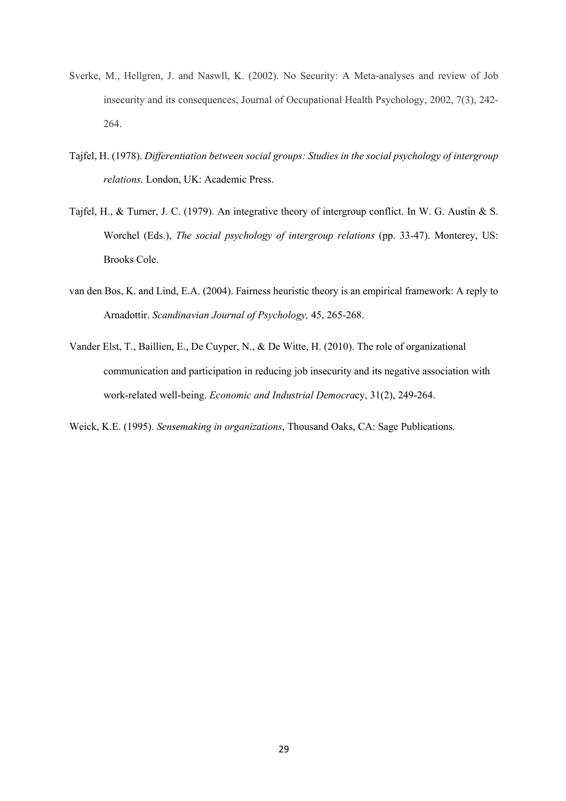- Sverke, M., Hellgren, J. and Naswll, K. (2002). No Security: A Meta-analyses and review of Job insecurity and its consequences, Journal of Occupational Health Psychology, 2002, 7(3), 242- 264.
- Tajfel, H. (1978). *Differentiation between social groups: Studies in the social psychology of intergroup relations.* London, UK: Academic Press.
- Tajfel, H., & Turner, J. C. (1979). An integrative theory of intergroup conflict. In W. G. Austin & S. Worchel (Eds.), *The social psychology of intergroup relations* (pp. 33-47). Monterey, US: Brooks Cole.
- van den Bos, K. and Lind, E.A. (2004). Fairness heuristic theory is an empirical framework: A reply to Arnadottir. *Scandinavian Journal of Psychology,* 45, 265-268.
- Vander Elst, T., Baillien, E., De Cuyper, N., & De Witte, H. (2010). The role of organizational communication and participation in reducing job insecurity and its negative association with work-related well-being. *Economic and Industrial Democra*cy, 31(2), 249-264.

Weick, K.E. (1995). *Sensemaking in organizations*, Thousand Oaks, CA: Sage Publications.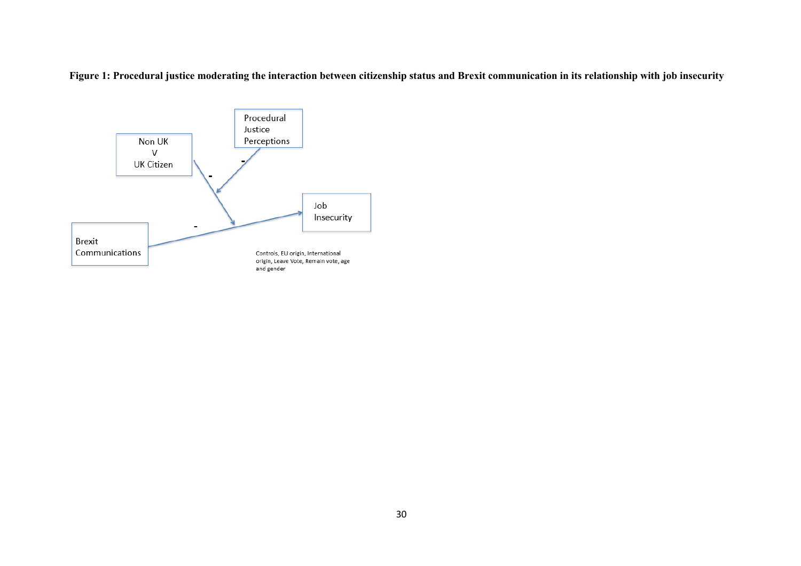**Figure 1: Procedural justice moderating the interaction between citizenship status and Brexit communication in its relationship with job insecurity**

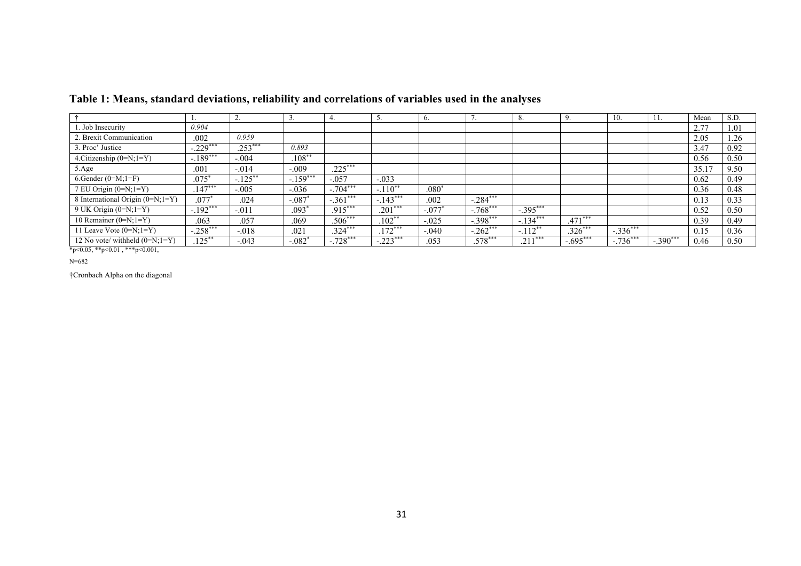|                                                           |            | ۷.        |            |            |            | O.       |            |                       |            | 10.        | 11.        | Mean  | S.D. |
|-----------------------------------------------------------|------------|-----------|------------|------------|------------|----------|------------|-----------------------|------------|------------|------------|-------|------|
| 1. Job Insecurity                                         | 0.904      |           |            |            |            |          |            |                       |            |            |            | 2.77  | 1.01 |
| 2. Brexit Communication                                   | .002       | 0.959     |            |            |            |          |            |                       |            |            |            | 2.05  | 1.26 |
| 3. Proc' Justice                                          | $-.229***$ | $.253***$ | 0.893      |            |            |          |            |                       |            |            |            | 3.47  | 0.92 |
| 4. Citizenship $(0=N;1=Y)$                                | $-189***$  | $-.004$   | $.108***$  |            |            |          |            |                       |            |            |            | 0.56  | 0.50 |
| 5.Age                                                     | .001       | $-.014$   | $-.009$    | $.225***$  |            |          |            |                       |            |            |            | 35.17 | 9.50 |
| 6. Gender $(0=M;1=F)$                                     | $.075*$    | $-125$ ** | $-159***$  | $-.057$    | $-.033$    |          |            |                       |            |            |            | 0.62  | 0.49 |
| 7 EU Origin $(0=N;1=Y)$                                   | $.147***$  | $-.005$   | $-.036$    | $-.704***$ | $-.110**$  | $.080*$  |            |                       |            |            |            | 0.36  | 0.48 |
| 8 International Origin $(0=N;1=Y)$                        | $.077*$    | .024      | $-0.087$ * | $-.361***$ | $-143***$  | .002     | $-.284***$ |                       |            |            |            | 0.13  | 0.33 |
| 9 UK Origin $(0=N;1=Y)$                                   | $-.192***$ | $-.011$   | $.093*$    | $.915***$  | $.201***$  | $-.077*$ | $-.768***$ | $-.395***$            |            |            |            | 0.52  | 0.50 |
| 10 Remainer $(0=N;1=Y)$                                   | .063       | .057      | .069       | $.506***$  | $.102**$   | $-.025$  | $-.398***$ | $-134***$             | $.471***$  |            |            | 0.39  | 0.49 |
| 11 Leave Vote $(0=N;1=Y)$                                 | $-.258***$ | $-.018$   | .021       | $.324***$  | $.172***$  | $-.040$  | $-.262***$ | $-112**$              | $.326***$  | $-.336***$ |            | 0.15  | 0.36 |
| 12 No vote/ withheld $(0=N;1=Y)$<br>$+0.05 + 0.01 + 0.01$ | $.125**$   | $-.043$   | $-.082*$   | $-.728***$ | $-.223***$ | .053     | $.578***$  | $\overline{.211}$ *** | $-.695***$ | $-.736***$ | $-.390***$ | 0.46  | 0.50 |

# **Table 1: Means, standard deviations, reliability and correlations of variables used in the analyses**

\*p<0.05, \*\*p<0.01 , \*\*\*p<0.001,

N=682

†Cronbach Alpha on the diagonal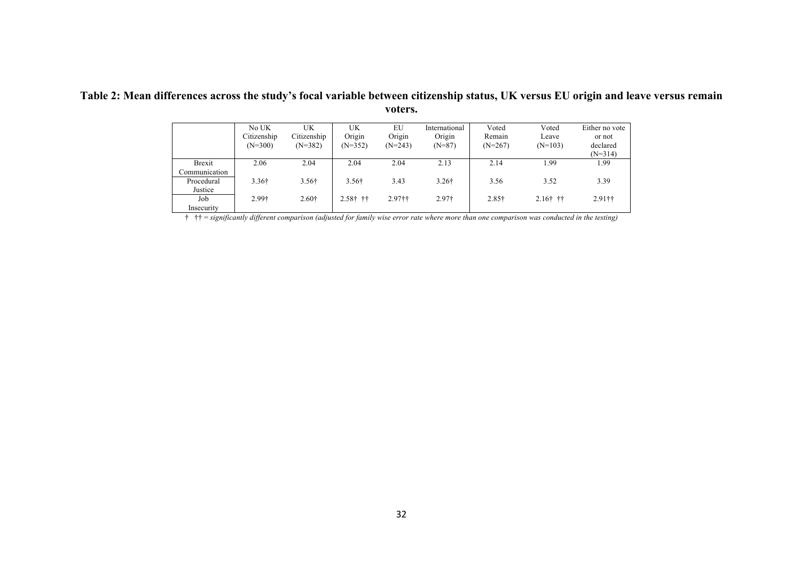|                         | No UK<br>Citizenship<br>$(N=300)$ | UK<br>Citizenship<br>$(N=382)$ | UK<br>Origin<br>$(N=352)$ | EU<br>Origin<br>$(N=243)$ | International<br>Origin<br>$(N=87)$ | Voted<br>Remain<br>$(N=267)$ | Voted<br>Leave<br>$(N=103)$ | Either no vote<br>or not<br>declared<br>$(N=314)$ |
|-------------------------|-----------------------------------|--------------------------------|---------------------------|---------------------------|-------------------------------------|------------------------------|-----------------------------|---------------------------------------------------|
| Brexit<br>Communication | 2.06                              | 2.04                           | 2.04                      | 2.04                      | 2.13                                | 2.14                         | 1.99                        | 1.99                                              |
| Procedural<br>Justice   | 3.36†                             | 3.56†                          | 3.56†                     | 3.43                      | $3.26\dagger$                       | 3.56                         | 3.52                        | 3.39                                              |
| Job<br>Insecurity       | 2.99†                             | 2.60 <sup>†</sup>              | $2.58†$ ††                | 2.97 <sup>†</sup>         | 2.97 <sup>†</sup>                   | $2.85\dagger$                | $2.16$ † ††                 | $2.91$ <sup><math>\dagger</math></sup>            |

## **Table 2: Mean differences across the study's focal variable between citizenship status, UK versus EU origin and leave versus remain voters.**

† †† = *significantly different comparison (adjusted for family wise error rate where more than one comparison was conducted in the testing)*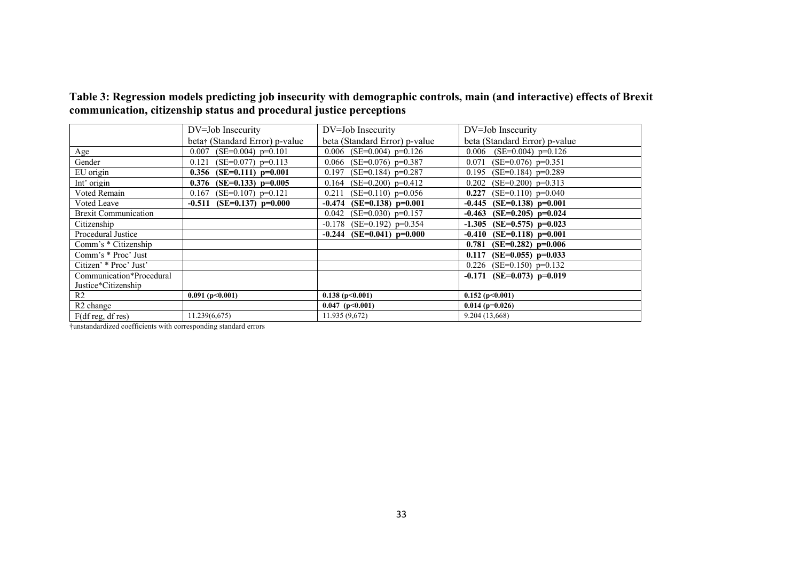| Table 3: Regression models predicting job insecurity with demographic controls, main (and interactive) effects of Brexit |  |
|--------------------------------------------------------------------------------------------------------------------------|--|
| communication, citizenship status and procedural justice perceptions                                                     |  |

|                             | DV=Job Insecurity              | DV=Job Insecurity                | DV=Job Insecurity             |  |  |
|-----------------------------|--------------------------------|----------------------------------|-------------------------------|--|--|
|                             | beta† (Standard Error) p-value | beta (Standard Error) p-value    | beta (Standard Error) p-value |  |  |
| Age                         | $0.007$ (SE=0.004) p=0.101     | $0.006$ (SE=0.004) p=0.126       | 0.006 (SE=0.004) $p=0.126$    |  |  |
| Gender                      | $0.121$ (SE=0.077) p=0.113     | $(SE=0.076)$ p=0.387<br>0.066    | $(SE=0.076)$ p=0.351<br>0.071 |  |  |
| EU origin                   | $0.356$ (SE=0.111) p=0.001     | $(SE=0.184)$ p=0.287<br>0.197    | 0.195 (SE=0.184) $p=0.289$    |  |  |
| Int' origin                 | $0.376$ (SE=0.133) p=0.005     | $(SE=0.200)$ p=0.412<br>0.164    | $0.202$ (SE=0.200) p=0.313    |  |  |
| Voted Remain                | $0.167$ (SE=0.107) p=0.121     | $(SE=0.110)$ p=0.056<br>0.211    | $(SE=0.110)$ p=0.040<br>0.227 |  |  |
| Voted Leave                 | $-0.511$ (SE=0.137) p=0.000    | $(SE=0.138)$ p=0.001<br>$-0.474$ | $-0.445$ (SE=0.138) p=0.001   |  |  |
| <b>Brexit Communication</b> |                                | $(SE=0.030)$ p=0.157<br>0.042    | $-0.463$ (SE=0.205) p=0.024   |  |  |
| Citizenship                 |                                | $-0.178$ (SE=0.192) p=0.354      | $-1.305$ (SE=0.575) p=0.023   |  |  |
| Procedural Justice          |                                | $-0.244$ (SE=0.041) p=0.000      | $-0.410$ (SE=0.118) p=0.001   |  |  |
| Comm's * Citizenship        |                                |                                  | $0.781$ (SE=0.282) p=0.006    |  |  |
| Comm's * Proc' Just         |                                |                                  | $0.117$ (SE=0.055) p=0.033    |  |  |
| Citizen' * Proc' Just'      |                                |                                  | 0.226 (SE=0.150) $p=0.132$    |  |  |
| Communication*Procedural    |                                |                                  | $-0.171$ (SE=0.073) p=0.019   |  |  |
| Justice*Citizenship         |                                |                                  |                               |  |  |
| R <sub>2</sub>              | $0.091$ (p<0.001)              | 0.138(p<0.001)                   | $0.152$ (p<0.001)             |  |  |
| R <sub>2</sub> change       |                                | $0.047$ (p<0.001)                | $0.014$ (p=0.026)             |  |  |
| F(df reg, df res)           | 11.239(6.675)                  | 11.935 (9,672)                   | 9.204 (13,668)                |  |  |

†unstandardized coefficients with corresponding standard errors